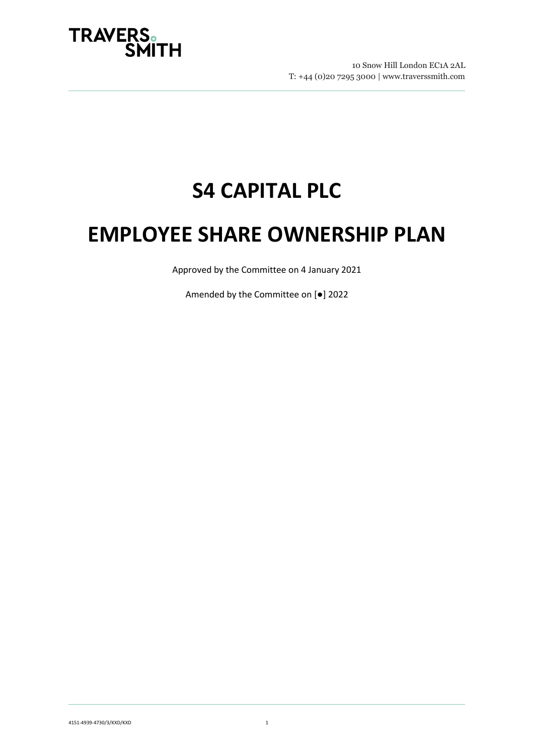

# **S4 CAPITAL PLC**

# **EMPLOYEE SHARE OWNERSHIP PLAN**

Approved by the Committee on 4 January 2021

Amended by the Committee on [●] 2022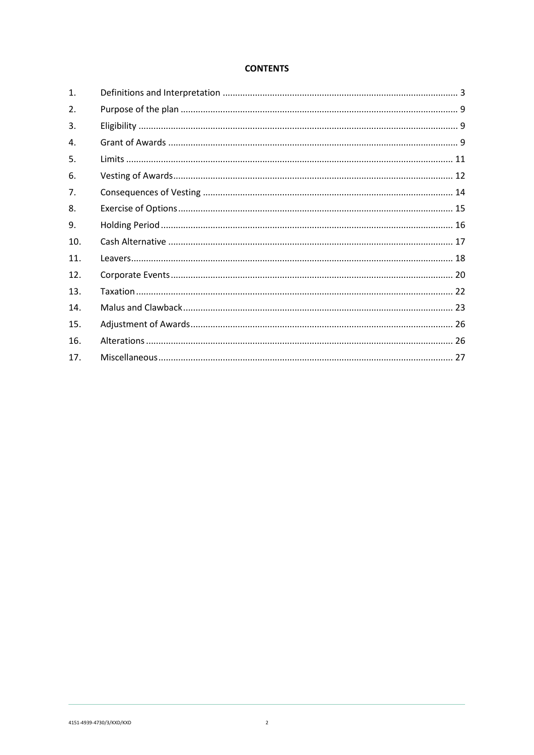## **CONTENTS**

| $\mathbf{1}$ .   |  |
|------------------|--|
| $\overline{2}$ . |  |
| 3.               |  |
| $\mathbf{4}$ .   |  |
| 5.               |  |
| 6.               |  |
| 7 <sub>1</sub>   |  |
| 8.               |  |
| 9.               |  |
| 10.              |  |
| 11.              |  |
| 12.              |  |
| 13.              |  |
| 14.              |  |
| 15.              |  |
| 16.              |  |
| 17.              |  |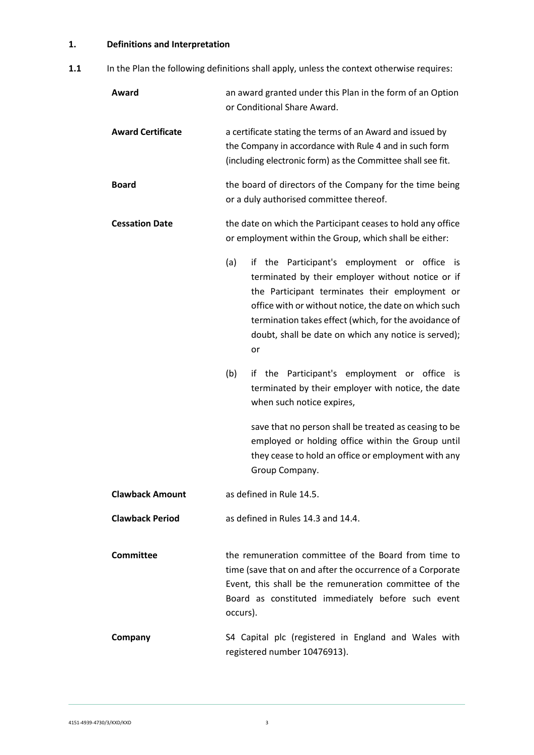# <span id="page-2-0"></span>**1. Definitions and Interpretation**

1.1 In the Plan the following definitions shall apply, unless the context otherwise requires:

| Award                    | an award granted under this Plan in the form of an Option<br>or Conditional Share Award.                                                                                                                                                                                                                                                             |  |  |  |
|--------------------------|------------------------------------------------------------------------------------------------------------------------------------------------------------------------------------------------------------------------------------------------------------------------------------------------------------------------------------------------------|--|--|--|
| <b>Award Certificate</b> | a certificate stating the terms of an Award and issued by<br>the Company in accordance with Rule 4 and in such form<br>(including electronic form) as the Committee shall see fit.                                                                                                                                                                   |  |  |  |
| <b>Board</b>             | the board of directors of the Company for the time being<br>or a duly authorised committee thereof.                                                                                                                                                                                                                                                  |  |  |  |
| <b>Cessation Date</b>    | the date on which the Participant ceases to hold any office<br>or employment within the Group, which shall be either:                                                                                                                                                                                                                                |  |  |  |
|                          | (a)<br>if the Participant's employment or office<br><b>is</b><br>terminated by their employer without notice or if<br>the Participant terminates their employment or<br>office with or without notice, the date on which such<br>termination takes effect (which, for the avoidance of<br>doubt, shall be date on which any notice is served);<br>or |  |  |  |
|                          | (b)<br>if the Participant's employment or office is<br>terminated by their employer with notice, the date<br>when such notice expires,                                                                                                                                                                                                               |  |  |  |
|                          | save that no person shall be treated as ceasing to be<br>employed or holding office within the Group until<br>they cease to hold an office or employment with any<br>Group Company.                                                                                                                                                                  |  |  |  |
| <b>Clawback Amount</b>   | as defined in Rule 14.5.                                                                                                                                                                                                                                                                                                                             |  |  |  |
| <b>Clawback Period</b>   | as defined in Rules 14.3 and 14.4.                                                                                                                                                                                                                                                                                                                   |  |  |  |
| <b>Committee</b>         | the remuneration committee of the Board from time to<br>time (save that on and after the occurrence of a Corporate<br>Event, this shall be the remuneration committee of the<br>Board as constituted immediately before such event<br>occurs).                                                                                                       |  |  |  |
| Company                  | S4 Capital plc (registered in England and Wales with<br>registered number 10476913).                                                                                                                                                                                                                                                                 |  |  |  |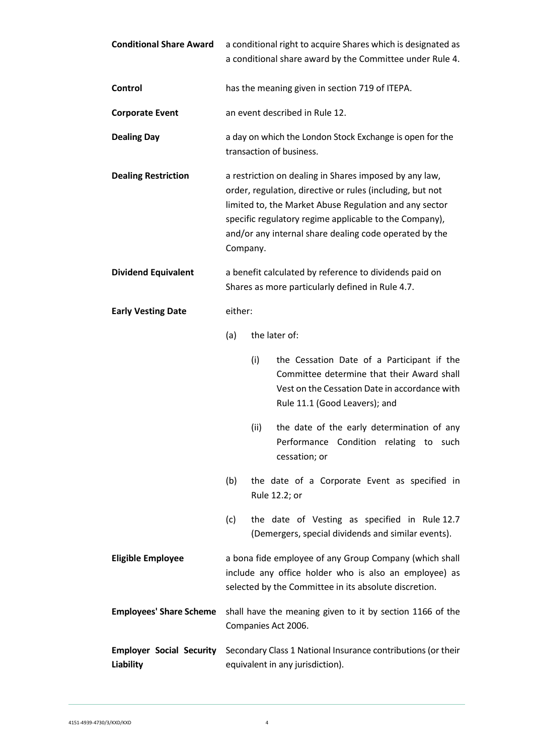| <b>Conditional Share Award</b>                      | a conditional right to acquire Shares which is designated as<br>a conditional share award by the Committee under Rule 4.                                                                                                                                                                                      |      |                                                                                                                                                                            |  |
|-----------------------------------------------------|---------------------------------------------------------------------------------------------------------------------------------------------------------------------------------------------------------------------------------------------------------------------------------------------------------------|------|----------------------------------------------------------------------------------------------------------------------------------------------------------------------------|--|
| Control                                             | has the meaning given in section 719 of ITEPA.                                                                                                                                                                                                                                                                |      |                                                                                                                                                                            |  |
| <b>Corporate Event</b>                              | an event described in Rule 12.                                                                                                                                                                                                                                                                                |      |                                                                                                                                                                            |  |
| <b>Dealing Day</b>                                  | a day on which the London Stock Exchange is open for the<br>transaction of business.                                                                                                                                                                                                                          |      |                                                                                                                                                                            |  |
| <b>Dealing Restriction</b>                          | a restriction on dealing in Shares imposed by any law,<br>order, regulation, directive or rules (including, but not<br>limited to, the Market Abuse Regulation and any sector<br>specific regulatory regime applicable to the Company),<br>and/or any internal share dealing code operated by the<br>Company. |      |                                                                                                                                                                            |  |
| <b>Dividend Equivalent</b>                          | a benefit calculated by reference to dividends paid on<br>Shares as more particularly defined in Rule 4.7.                                                                                                                                                                                                    |      |                                                                                                                                                                            |  |
| <b>Early Vesting Date</b>                           | either:                                                                                                                                                                                                                                                                                                       |      |                                                                                                                                                                            |  |
|                                                     | (a)                                                                                                                                                                                                                                                                                                           |      | the later of:                                                                                                                                                              |  |
|                                                     |                                                                                                                                                                                                                                                                                                               | (i)  | the Cessation Date of a Participant if the<br>Committee determine that their Award shall<br>Vest on the Cessation Date in accordance with<br>Rule 11.1 (Good Leavers); and |  |
|                                                     |                                                                                                                                                                                                                                                                                                               | (ii) | the date of the early determination of any<br>Performance Condition relating to such<br>cessation; or                                                                      |  |
|                                                     | (b)                                                                                                                                                                                                                                                                                                           |      | the date of a Corporate Event as specified in<br>Rule 12.2; or                                                                                                             |  |
|                                                     | (c)                                                                                                                                                                                                                                                                                                           |      | the date of Vesting as specified in Rule 12.7<br>(Demergers, special dividends and similar events).                                                                        |  |
| <b>Eligible Employee</b>                            | a bona fide employee of any Group Company (which shall<br>include any office holder who is also an employee) as<br>selected by the Committee in its absolute discretion.                                                                                                                                      |      |                                                                                                                                                                            |  |
| <b>Employees' Share Scheme</b>                      | shall have the meaning given to it by section 1166 of the<br>Companies Act 2006.                                                                                                                                                                                                                              |      |                                                                                                                                                                            |  |
| <b>Employer Social Security</b><br><b>Liability</b> | Secondary Class 1 National Insurance contributions (or their<br>equivalent in any jurisdiction).                                                                                                                                                                                                              |      |                                                                                                                                                                            |  |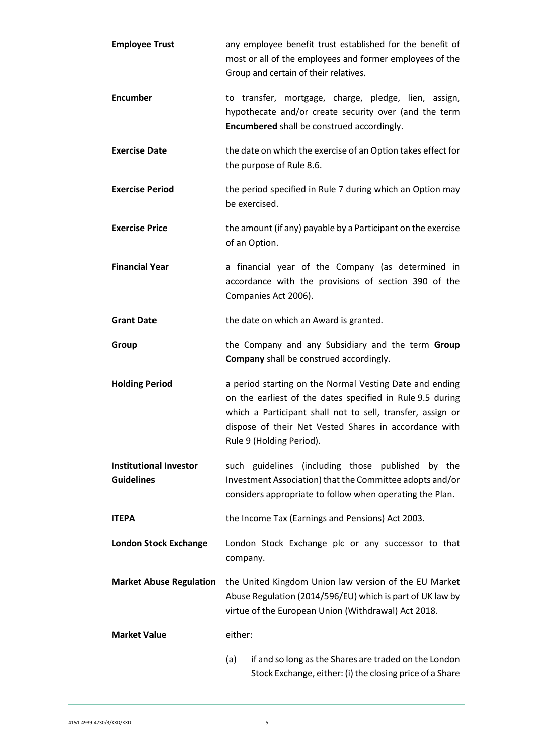| <b>Employee Trust</b>                              | any employee benefit trust established for the benefit of<br>most or all of the employees and former employees of the<br>Group and certain of their relatives.                                                                                                          |  |  |  |
|----------------------------------------------------|-------------------------------------------------------------------------------------------------------------------------------------------------------------------------------------------------------------------------------------------------------------------------|--|--|--|
| <b>Encumber</b>                                    | to transfer, mortgage, charge, pledge, lien, assign,<br>hypothecate and/or create security over (and the term<br>Encumbered shall be construed accordingly.                                                                                                             |  |  |  |
| <b>Exercise Date</b>                               | the date on which the exercise of an Option takes effect for<br>the purpose of Rule 8.6.                                                                                                                                                                                |  |  |  |
| <b>Exercise Period</b>                             | the period specified in Rule 7 during which an Option may<br>be exercised.                                                                                                                                                                                              |  |  |  |
| <b>Exercise Price</b>                              | the amount (if any) payable by a Participant on the exercise<br>of an Option.                                                                                                                                                                                           |  |  |  |
| <b>Financial Year</b>                              | a financial year of the Company (as determined in<br>accordance with the provisions of section 390 of the<br>Companies Act 2006).                                                                                                                                       |  |  |  |
| <b>Grant Date</b>                                  | the date on which an Award is granted.                                                                                                                                                                                                                                  |  |  |  |
| Group                                              | the Company and any Subsidiary and the term Group<br>Company shall be construed accordingly.                                                                                                                                                                            |  |  |  |
| <b>Holding Period</b>                              | a period starting on the Normal Vesting Date and ending<br>on the earliest of the dates specified in Rule 9.5 during<br>which a Participant shall not to sell, transfer, assign or<br>dispose of their Net Vested Shares in accordance with<br>Rule 9 (Holding Period). |  |  |  |
| <b>Institutional Investor</b><br><b>Guidelines</b> | such guidelines (including those published by the<br>Investment Association) that the Committee adopts and/or<br>considers appropriate to follow when operating the Plan.                                                                                               |  |  |  |
| <b>ITEPA</b>                                       | the Income Tax (Earnings and Pensions) Act 2003.                                                                                                                                                                                                                        |  |  |  |
| <b>London Stock Exchange</b>                       | London Stock Exchange plc or any successor to that<br>company.                                                                                                                                                                                                          |  |  |  |
| <b>Market Abuse Regulation</b>                     | the United Kingdom Union law version of the EU Market<br>Abuse Regulation (2014/596/EU) which is part of UK law by<br>virtue of the European Union (Withdrawal) Act 2018.                                                                                               |  |  |  |
| <b>Market Value</b>                                | either:                                                                                                                                                                                                                                                                 |  |  |  |
|                                                    | if and so long as the Shares are traded on the London<br>(a)<br>Stock Exchange, either: (i) the closing price of a Share                                                                                                                                                |  |  |  |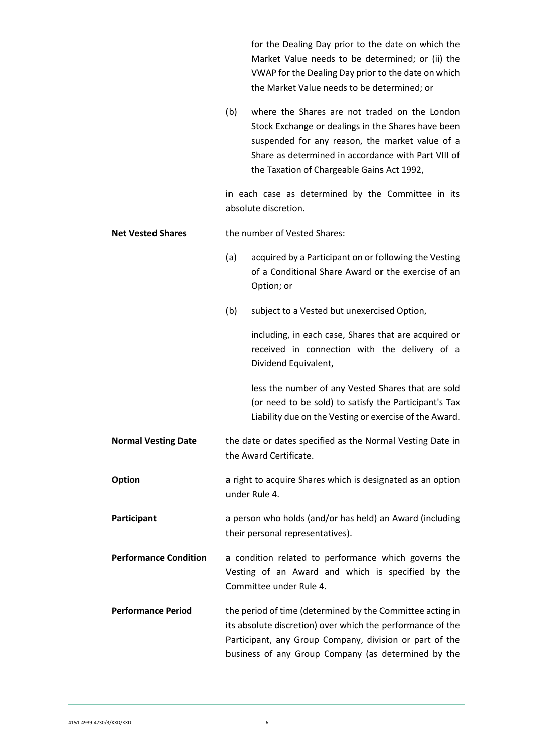|                              |                              | for the Dealing Day prior to the date on which the<br>Market Value needs to be determined; or (ii) the<br>VWAP for the Dealing Day prior to the date on which<br>the Market Value needs to be determined; or                                                |  |  |
|------------------------------|------------------------------|-------------------------------------------------------------------------------------------------------------------------------------------------------------------------------------------------------------------------------------------------------------|--|--|
|                              | (b)                          | where the Shares are not traded on the London<br>Stock Exchange or dealings in the Shares have been<br>suspended for any reason, the market value of a<br>Share as determined in accordance with Part VIII of<br>the Taxation of Chargeable Gains Act 1992, |  |  |
|                              |                              | in each case as determined by the Committee in its<br>absolute discretion.                                                                                                                                                                                  |  |  |
| <b>Net Vested Shares</b>     | the number of Vested Shares: |                                                                                                                                                                                                                                                             |  |  |
|                              | (a)                          | acquired by a Participant on or following the Vesting<br>of a Conditional Share Award or the exercise of an<br>Option; or                                                                                                                                   |  |  |
|                              | (b)                          | subject to a Vested but unexercised Option,                                                                                                                                                                                                                 |  |  |
|                              |                              | including, in each case, Shares that are acquired or<br>received in connection with the delivery of a<br>Dividend Equivalent,                                                                                                                               |  |  |
|                              |                              | less the number of any Vested Shares that are sold<br>(or need to be sold) to satisfy the Participant's Tax<br>Liability due on the Vesting or exercise of the Award.                                                                                       |  |  |
| <b>Normal Vesting Date</b>   |                              | the date or dates specified as the Normal Vesting Date in<br>the Award Certificate.                                                                                                                                                                         |  |  |
| <b>Option</b>                |                              | a right to acquire Shares which is designated as an option<br>under Rule 4.                                                                                                                                                                                 |  |  |
| Participant                  |                              | a person who holds (and/or has held) an Award (including<br>their personal representatives).                                                                                                                                                                |  |  |
| <b>Performance Condition</b> |                              | a condition related to performance which governs the<br>Vesting of an Award and which is specified by the<br>Committee under Rule 4.                                                                                                                        |  |  |
| <b>Performance Period</b>    |                              | the period of time (determined by the Committee acting in<br>its absolute discretion) over which the performance of the<br>Participant, any Group Company, division or part of the<br>business of any Group Company (as determined by the                   |  |  |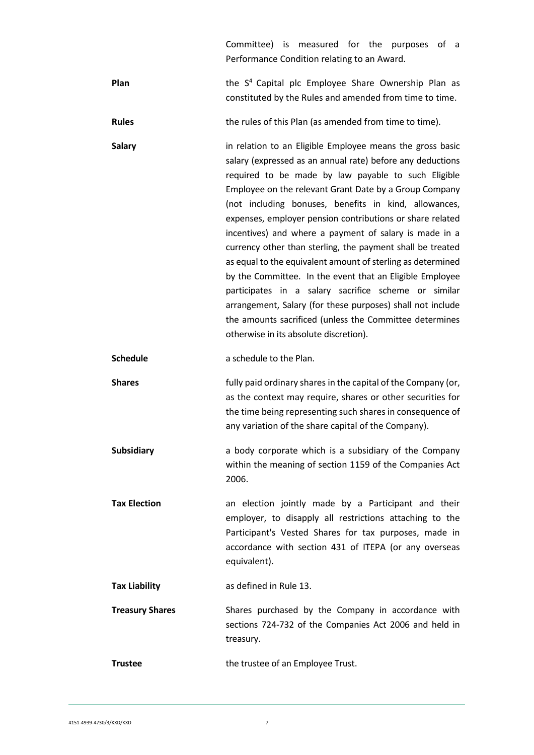Committee) is measured for the purposes of a Performance Condition relating to an Award.

- Plan **Plan** the S<sup>4</sup> Capital plc Employee Share Ownership Plan as constituted by the Rules and amended from time to time.
- **Rules** the rules of this Plan (as amended from time to time).
- **Salary in relation to an Eligible Employee means the gross basic** salary (expressed as an annual rate) before any deductions required to be made by law payable to such Eligible Employee on the relevant Grant Date by a Group Company (not including bonuses, benefits in kind, allowances, expenses, employer pension contributions or share related incentives) and where a payment of salary is made in a currency other than sterling, the payment shall be treated as equal to the equivalent amount of sterling as determined by the Committee. In the event that an Eligible Employee participates in a salary sacrifice scheme or similar arrangement, Salary (for these purposes) shall not include the amounts sacrificed (unless the Committee determines otherwise in its absolute discretion).

**Schedule a** schedule to the Plan.

- **Shares Shares fully paid ordinary shares in the capital of the Company (or,** as the context may require, shares or other securities for the time being representing such shares in consequence of any variation of the share capital of the Company).
- **Subsidiary** a body corporate which is a subsidiary of the Company within the meaning of section 1159 of the Companies Act 2006.
- **Tax Election** an election jointly made by a Participant and their employer, to disapply all restrictions attaching to the Participant's Vested Shares for tax purposes, made in accordance with section 431 of ITEPA (or any overseas equivalent).

**Tax Liability** as defined in Rule 13.

- **Treasury Shares** Shares purchased by the Company in accordance with sections 724-732 of the Companies Act 2006 and held in treasury.
- **Trustee** the trustee of an Employee Trust.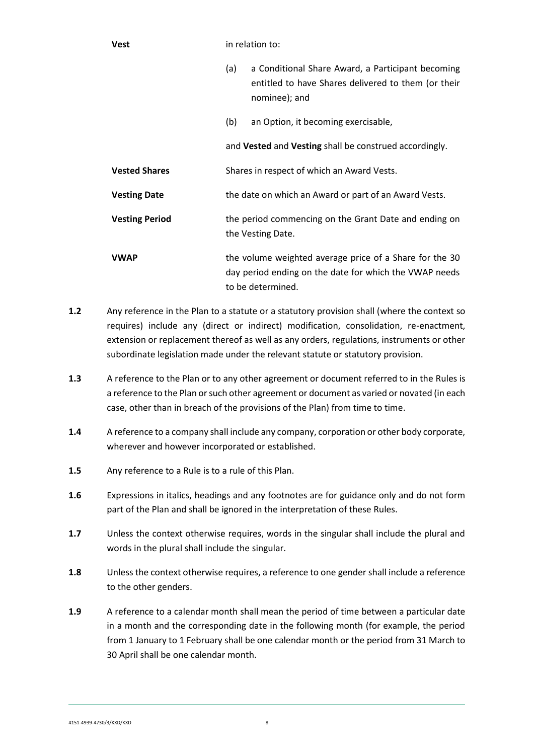| Vest | in relation to: |
|------|-----------------|
|      |                 |

- (a) a Conditional Share Award, a Participant becoming entitled to have Shares delivered to them (or their nominee); and
- (b) an Option, it becoming exercisable,

and **Vested** and **Vesting** shall be construed accordingly.

- **Vested Shares** Shares in respect of which an Award Vests.
- **Vesting Date** the date on which an Award or part of an Award Vests.
- **Vesting Period** the period commencing on the Grant Date and ending on the Vesting Date.
- **VWAP** the volume weighted average price of a Share for the 30 day period ending on the date for which the VWAP needs to be determined.
- **1.2** Any reference in the Plan to a statute or a statutory provision shall (where the context so requires) include any (direct or indirect) modification, consolidation, re-enactment, extension or replacement thereof as well as any orders, regulations, instruments or other subordinate legislation made under the relevant statute or statutory provision.
- **1.3** A reference to the Plan or to any other agreement or document referred to in the Rules is a reference to the Plan or such other agreement or document as varied or novated (in each case, other than in breach of the provisions of the Plan) from time to time.
- **1.4** A reference to a company shall include any company, corporation or other body corporate, wherever and however incorporated or established.
- **1.5** Any reference to a Rule is to a rule of this Plan.
- **1.6** Expressions in italics, headings and any footnotes are for guidance only and do not form part of the Plan and shall be ignored in the interpretation of these Rules.
- **1.7** Unless the context otherwise requires, words in the singular shall include the plural and words in the plural shall include the singular.
- **1.8** Unless the context otherwise requires, a reference to one gender shall include a reference to the other genders.
- **1.9** A reference to a calendar month shall mean the period of time between a particular date in a month and the corresponding date in the following month (for example, the period from 1 January to 1 February shall be one calendar month or the period from 31 March to 30 April shall be one calendar month.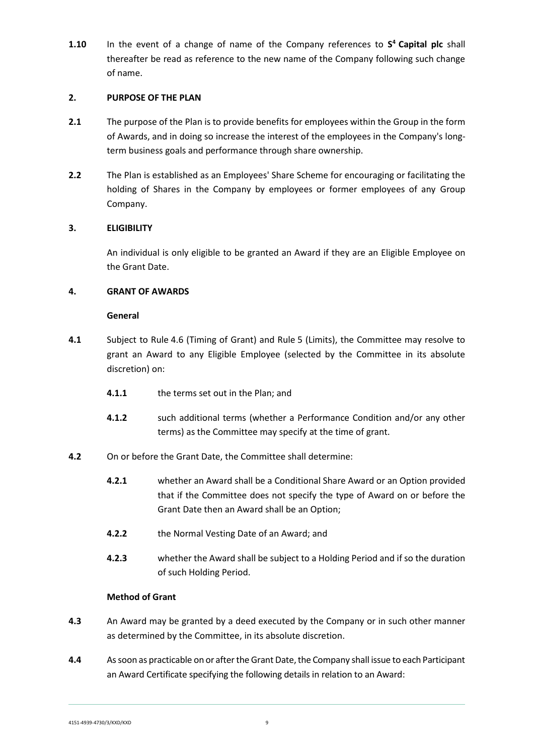**1.10** In the event of a change of name of the Company references to **S <sup>4</sup>Capital plc** shall thereafter be read as reference to the new name of the Company following such change of name.

#### <span id="page-8-0"></span>**2. PURPOSE OF THE PLAN**

- **2.1** The purpose of the Plan is to provide benefits for employees within the Group in the form of Awards, and in doing so increase the interest of the employees in the Company's longterm business goals and performance through share ownership.
- **2.2** The Plan is established as an Employees' Share Scheme for encouraging or facilitating the holding of Shares in the Company by employees or former employees of any Group Company.

## <span id="page-8-1"></span>**3. ELIGIBILITY**

An individual is only eligible to be granted an Award if they are an Eligible Employee on the Grant Date.

## <span id="page-8-2"></span>**4. GRANT OF AWARDS**

#### **General**

- **4.1** Subject to Rule 4.6 (Timing of Grant) and Rule [5](#page-10-0) (Limits), the Committee may resolve to grant an Award to any Eligible Employee (selected by the Committee in its absolute discretion) on:
	- **4.1.1** the terms set out in the Plan; and
	- **4.1.2** such additional terms (whether a Performance Condition and/or any other terms) as the Committee may specify at the time of grant.
- **4.2** On or before the Grant Date, the Committee shall determine:
	- **4.2.1** whether an Award shall be a Conditional Share Award or an Option provided that if the Committee does not specify the type of Award on or before the Grant Date then an Award shall be an Option;
	- **4.2.2** the Normal Vesting Date of an Award; and
	- **4.2.3** whether the Award shall be subject to a Holding Period and if so the duration of such Holding Period.

#### **Method of Grant**

- **4.3** An Award may be granted by a deed executed by the Company or in such other manner as determined by the Committee, in its absolute discretion.
- **4.4** As soon as practicable on or after the Grant Date, the Company shall issue to each Participant an Award Certificate specifying the following details in relation to an Award: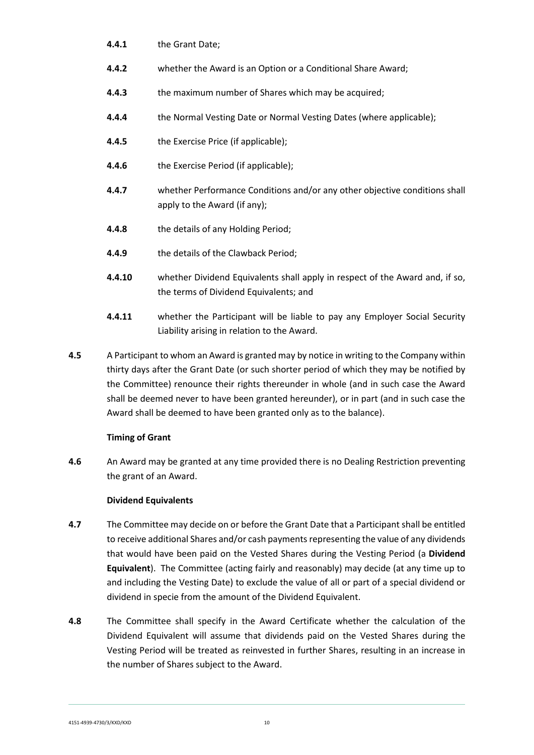- **4.4.1** the Grant Date;
- **4.4.2** whether the Award is an Option or a Conditional Share Award;
- **4.4.3** the maximum number of Shares which may be acquired;
- **4.4.4** the Normal Vesting Date or Normal Vesting Dates (where applicable);
- **4.4.5** the Exercise Price (if applicable);
- **4.4.6** the Exercise Period (if applicable);
- <span id="page-9-0"></span>**4.4.7** whether Performance Conditions and/or any other objective conditions shall apply to the Award (if any);
- **4.4.8** the details of any Holding Period;
- **4.4.9** the details of the Clawback Period;
- **4.4.10** whether Dividend Equivalents shall apply in respect of the Award and, if so, the terms of Dividend Equivalents; and
- **4.4.11** whether the Participant will be liable to pay any Employer Social Security Liability arising in relation to the Award.
- **4.5** A Participant to whom an Award is granted may by notice in writing to the Company within thirty days after the Grant Date (or such shorter period of which they may be notified by the Committee) renounce their rights thereunder in whole (and in such case the Award shall be deemed never to have been granted hereunder), or in part (and in such case the Award shall be deemed to have been granted only as to the balance).

## **Timing of Grant**

**4.6** An Award may be granted at any time provided there is no Dealing Restriction preventing the grant of an Award.

#### **Dividend Equivalents**

- **4.7** The Committee may decide on or before the Grant Date that a Participant shall be entitled to receive additional Shares and/or cash payments representing the value of any dividends that would have been paid on the Vested Shares during the Vesting Period (a **Dividend Equivalent**). The Committee (acting fairly and reasonably) may decide (at any time up to and including the Vesting Date) to exclude the value of all or part of a special dividend or dividend in specie from the amount of the Dividend Equivalent.
- **4.8** The Committee shall specify in the Award Certificate whether the calculation of the Dividend Equivalent will assume that dividends paid on the Vested Shares during the Vesting Period will be treated as reinvested in further Shares, resulting in an increase in the number of Shares subject to the Award.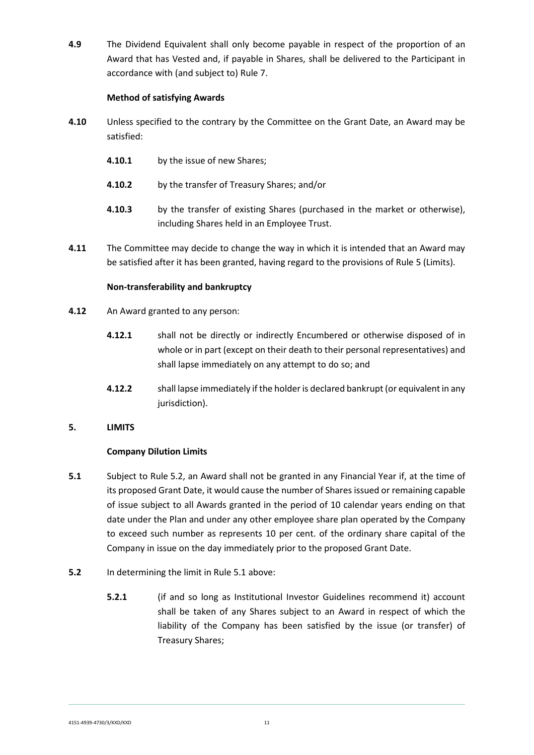**4.9** The Dividend Equivalent shall only become payable in respect of the proportion of an Award that has Vested and, if payable in Shares, shall be delivered to the Participant in accordance with (and subject to) Rule 7.

## **Method of satisfying Awards**

- **4.10** Unless specified to the contrary by the Committee on the Grant Date, an Award may be satisfied:
	- **4.10.1** by the issue of new Shares;
	- **4.10.2** by the transfer of Treasury Shares; and/or
	- **4.10.3** by the transfer of existing Shares (purchased in the market or otherwise), including Shares held in an Employee Trust.
- **4.11** The Committee may decide to change the way in which it is intended that an Award may be satisfied after it has been granted, having regard to the provisions of Rule [5](#page-10-0) (Limits).

## **Non-transferability and bankruptcy**

- **4.12** An Award granted to any person:
	- **4.12.1** shall not be directly or indirectly Encumbered or otherwise disposed of in whole or in part (except on their death to their personal representatives) and shall lapse immediately on any attempt to do so; and
	- **4.12.2** shall lapse immediately if the holder is declared bankrupt (or equivalent in any jurisdiction).

## <span id="page-10-0"></span>**5. LIMITS**

## **Company Dilution Limits**

- **5.1** Subject to Rule 5.2, an Award shall not be granted in any Financial Year if, at the time of its proposed Grant Date, it would cause the number of Shares issued or remaining capable of issue subject to all Awards granted in the period of 10 calendar years ending on that date under the Plan and under any other employee share plan operated by the Company to exceed such number as represents 10 per cent. of the ordinary share capital of the Company in issue on the day immediately prior to the proposed Grant Date.
- **5.2** In determining the limit in Rule 5.1 above:
	- **5.2.1** (if and so long as Institutional Investor Guidelines recommend it) account shall be taken of any Shares subject to an Award in respect of which the liability of the Company has been satisfied by the issue (or transfer) of Treasury Shares;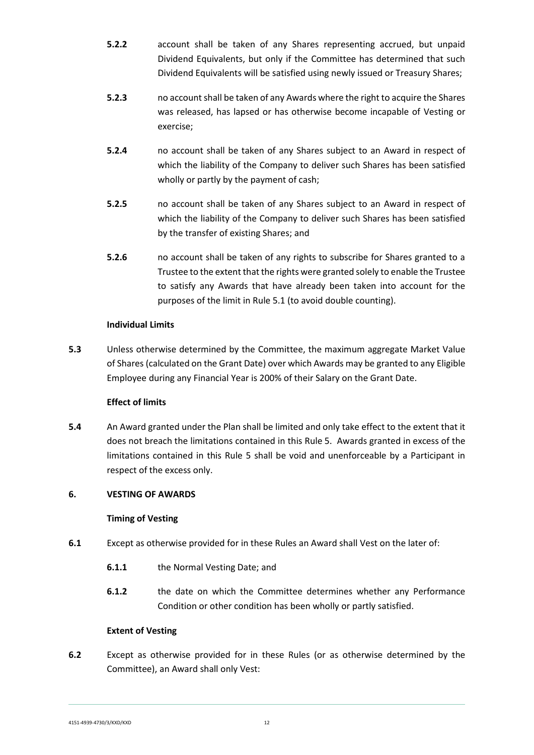- **5.2.2** account shall be taken of any Shares representing accrued, but unpaid Dividend Equivalents, but only if the Committee has determined that such Dividend Equivalents will be satisfied using newly issued or Treasury Shares;
- **5.2.3** no account shall be taken of any Awards where the right to acquire the Shares was released, has lapsed or has otherwise become incapable of Vesting or exercise;
- **5.2.4** no account shall be taken of any Shares subject to an Award in respect of which the liability of the Company to deliver such Shares has been satisfied wholly or partly by the payment of cash;
- **5.2.5** no account shall be taken of any Shares subject to an Award in respect of which the liability of the Company to deliver such Shares has been satisfied by the transfer of existing Shares; and
- **5.2.6** no account shall be taken of any rights to subscribe for Shares granted to a Trustee to the extent that the rights were granted solely to enable the Trustee to satisfy any Awards that have already been taken into account for the purposes of the limit in Rule 5.1 (to avoid double counting).

## **Individual Limits**

**5.3** Unless otherwise determined by the Committee, the maximum aggregate Market Value of Shares (calculated on the Grant Date) over which Awards may be granted to any Eligible Employee during any Financial Year is 200% of their Salary on the Grant Date.

## **Effect of limits**

**5.4** An Award granted under the Plan shall be limited and only take effect to the extent that it does not breach the limitations contained in this Rule 5. Awards granted in excess of the limitations contained in this Rule 5 shall be void and unenforceable by a Participant in respect of the excess only.

## <span id="page-11-0"></span>**6. VESTING OF AWARDS**

#### **Timing of Vesting**

- **6.1** Except as otherwise provided for in these Rules an Award shall Vest on the later of:
	- **6.1.1** the Normal Vesting Date; and
	- **6.1.2** the date on which the Committee determines whether any Performance Condition or other condition has been wholly or partly satisfied.

#### **Extent of Vesting**

**6.2** Except as otherwise provided for in these Rules (or as otherwise determined by the Committee), an Award shall only Vest:

4151-4939-4730/3/KXD/KXD 12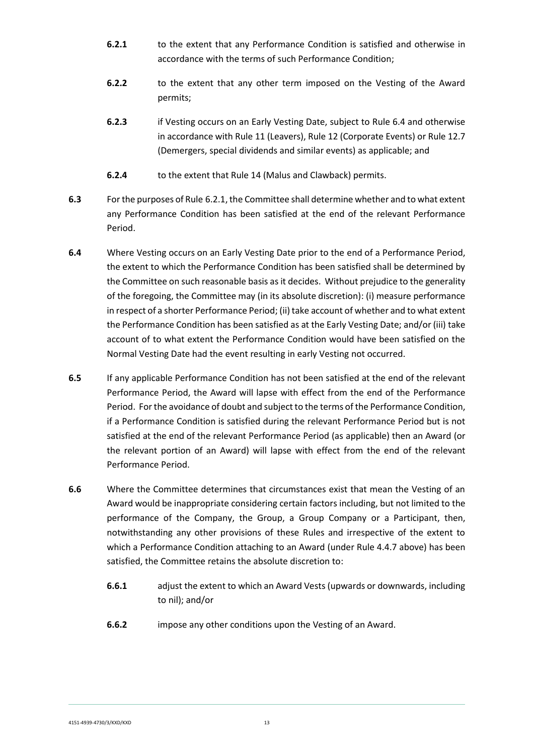- **6.2.1** to the extent that any Performance Condition is satisfied and otherwise in accordance with the terms of such Performance Condition;
- **6.2.2** to the extent that any other term imposed on the Vesting of the Award permits;
- **6.2.3** if Vesting occurs on an Early Vesting Date, subject to Rule 6.4 and otherwise in accordance with Rule 11 (Leavers), Rule 12 (Corporate Events) or Rule 12.7 (Demergers, special dividends and similar events) as applicable; and
- **6.2.4** to the extent that Rule [14](#page-22-0) (Malus and Clawback) permits.
- **6.3** For the purposes of Rule 6.2.1, the Committee shall determine whether and to what extent any Performance Condition has been satisfied at the end of the relevant Performance Period.
- **6.4** Where Vesting occurs on an Early Vesting Date prior to the end of a Performance Period, the extent to which the Performance Condition has been satisfied shall be determined by the Committee on such reasonable basis as it decides. Without prejudice to the generality of the foregoing, the Committee may (in its absolute discretion): (i) measure performance in respect of a shorter Performance Period; (ii) take account of whether and to what extent the Performance Condition has been satisfied as at the Early Vesting Date; and/or (iii) take account of to what extent the Performance Condition would have been satisfied on the Normal Vesting Date had the event resulting in early Vesting not occurred.
- **6.5** If any applicable Performance Condition has not been satisfied at the end of the relevant Performance Period, the Award will lapse with effect from the end of the Performance Period. For the avoidance of doubt and subject to the terms of the Performance Condition, if a Performance Condition is satisfied during the relevant Performance Period but is not satisfied at the end of the relevant Performance Period (as applicable) then an Award (or the relevant portion of an Award) will lapse with effect from the end of the relevant Performance Period.
- **6.6** Where the Committee determines that circumstances exist that mean the Vesting of an Award would be inappropriate considering certain factors including, but not limited to the performance of the Company, the Group, a Group Company or a Participant, then, notwithstanding any other provisions of these Rules and irrespective of the extent to which a Performance Condition attaching to an Award (under Rule [4.4.7](#page-9-0) above) has been satisfied, the Committee retains the absolute discretion to:
	- **6.6.1** adjust the extent to which an Award Vests (upwards or downwards, including to nil); and/or
	- **6.6.2** impose any other conditions upon the Vesting of an Award.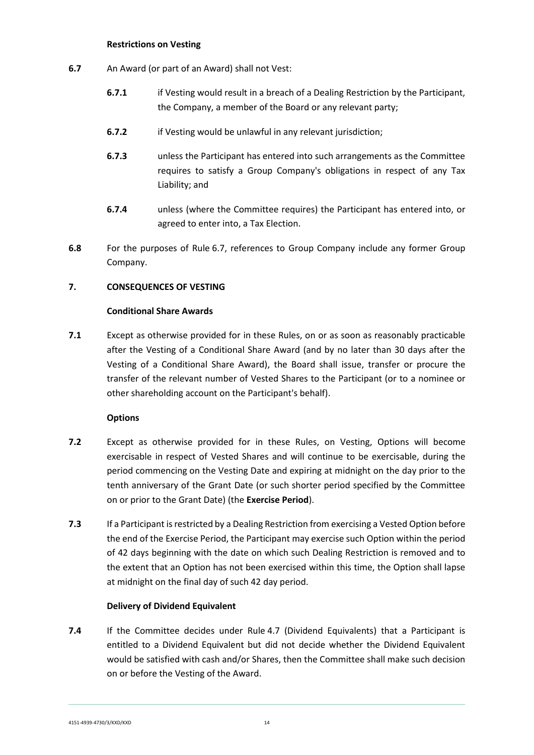#### **Restrictions on Vesting**

- <span id="page-13-1"></span>**6.7** An Award (or part of an Award) shall not Vest:
	- **6.7.1** if Vesting would result in a breach of a Dealing Restriction by the Participant, the Company, a member of the Board or any relevant party;
	- **6.7.2** if Vesting would be unlawful in any relevant jurisdiction;
	- **6.7.3** unless the Participant has entered into such arrangements as the Committee requires to satisfy a Group Company's obligations in respect of any Tax Liability; and
	- **6.7.4** unless (where the Committee requires) the Participant has entered into, or agreed to enter into, a Tax Election.
- **6.8** For the purposes of Rule [6.7,](#page-13-1) references to Group Company include any former Group Company.

## <span id="page-13-0"></span>**7. CONSEQUENCES OF VESTING**

## **Conditional Share Awards**

**7.1** Except as otherwise provided for in these Rules, on or as soon as reasonably practicable after the Vesting of a Conditional Share Award (and by no later than 30 days after the Vesting of a Conditional Share Award), the Board shall issue, transfer or procure the transfer of the relevant number of Vested Shares to the Participant (or to a nominee or other shareholding account on the Participant's behalf).

#### **Options**

- **7.2** Except as otherwise provided for in these Rules, on Vesting, Options will become exercisable in respect of Vested Shares and will continue to be exercisable, during the period commencing on the Vesting Date and expiring at midnight on the day prior to the tenth anniversary of the Grant Date (or such shorter period specified by the Committee on or prior to the Grant Date) (the **Exercise Period**).
- **7.3** If a Participant is restricted by a Dealing Restriction from exercising a Vested Option before the end of the Exercise Period, the Participant may exercise such Option within the period of 42 days beginning with the date on which such Dealing Restriction is removed and to the extent that an Option has not been exercised within this time, the Option shall lapse at midnight on the final day of such 42 day period.

#### **Delivery of Dividend Equivalent**

**7.4** If the Committee decides under Rule 4.7 (Dividend Equivalents) that a Participant is entitled to a Dividend Equivalent but did not decide whether the Dividend Equivalent would be satisfied with cash and/or Shares, then the Committee shall make such decision on or before the Vesting of the Award.

4151-4939-4730/3/KXD/KXD 14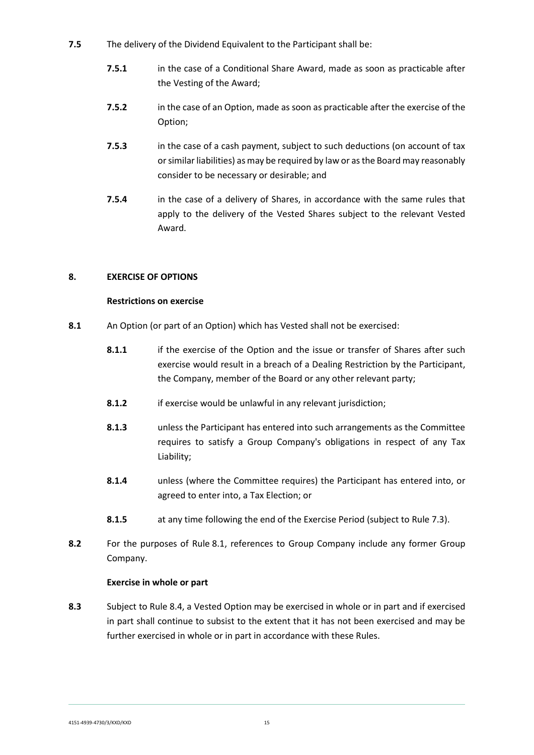- **7.5** The delivery of the Dividend Equivalent to the Participant shall be:
	- **7.5.1** in the case of a Conditional Share Award, made as soon as practicable after the Vesting of the Award;
	- **7.5.2** in the case of an Option, made as soon as practicable after the exercise of the Option;
	- **7.5.3** in the case of a cash payment, subject to such deductions (on account of tax or similar liabilities) as may be required by law or as the Board may reasonably consider to be necessary or desirable; and
	- **7.5.4** in the case of a delivery of Shares, in accordance with the same rules that apply to the delivery of the Vested Shares subject to the relevant Vested Award.

## <span id="page-14-0"></span>**8. EXERCISE OF OPTIONS**

#### **Restrictions on exercise**

- **8.1** An Option (or part of an Option) which has Vested shall not be exercised:
	- **8.1.1** if the exercise of the Option and the issue or transfer of Shares after such exercise would result in a breach of a Dealing Restriction by the Participant, the Company, member of the Board or any other relevant party;
	- **8.1.2** if exercise would be unlawful in any relevant jurisdiction;
	- **8.1.3** unless the Participant has entered into such arrangements as the Committee requires to satisfy a Group Company's obligations in respect of any Tax Liability;
	- **8.1.4** unless (where the Committee requires) the Participant has entered into, or agreed to enter into, a Tax Election; or
	- **8.1.5** at any time following the end of the Exercise Period (subject to Rule 7.3).
- **8.2** For the purposes of Rule [8.](#page-14-0)1, references to Group Company include any former Group Company.

#### **Exercise in whole or part**

**8.3** Subject to Rule 8.4, a Vested Option may be exercised in whole or in part and if exercised in part shall continue to subsist to the extent that it has not been exercised and may be further exercised in whole or in part in accordance with these Rules.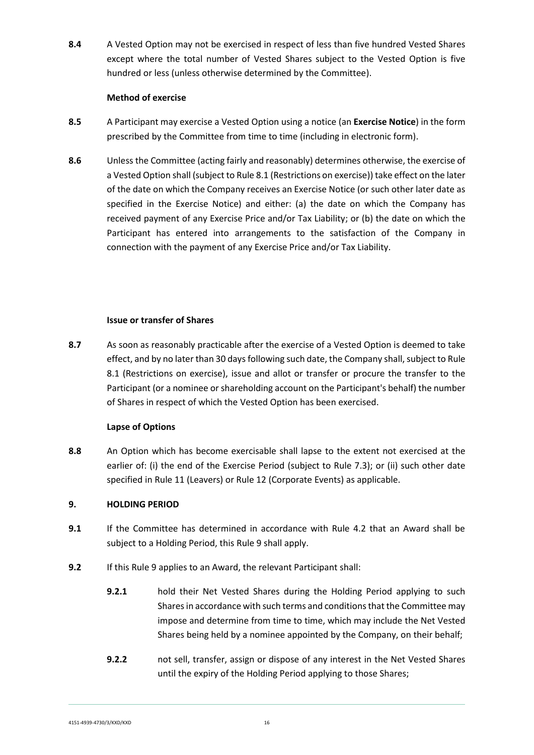**8.4** A Vested Option may not be exercised in respect of less than five hundred Vested Shares except where the total number of Vested Shares subject to the Vested Option is five hundred or less (unless otherwise determined by the Committee).

#### **Method of exercise**

- **8.5** A Participant may exercise a Vested Option using a notice (an **Exercise Notice**) in the form prescribed by the Committee from time to time (including in electronic form).
- **8.6** Unless the Committee (acting fairly and reasonably) determines otherwise, the exercise of a Vested Option shall (subject to Rule 8.1 (Restrictions on exercise)) take effect on the later of the date on which the Company receives an Exercise Notice (or such other later date as specified in the Exercise Notice) and either: (a) the date on which the Company has received payment of any Exercise Price and/or Tax Liability; or (b) the date on which the Participant has entered into arrangements to the satisfaction of the Company in connection with the payment of any Exercise Price and/or Tax Liability.

## **Issue or transfer of Shares**

**8.7** As soon as reasonably practicable after the exercise of a Vested Option is deemed to take effect, and by no later than 30 days following such date, the Company shall, subject to Rule 8.1 (Restrictions on exercise), issue and allot or transfer or procure the transfer to the Participant (or a nominee or shareholding account on the Participant's behalf) the number of Shares in respect of which the Vested Option has been exercised.

## **Lapse of Options**

**8.8** An Option which has become exercisable shall lapse to the extent not exercised at the earlier of: (i) the end of the Exercise Period (subject to Rule 7.3); or (ii) such other date specified in Rule [11](#page-17-0) (Leavers) or Rule [12](#page-19-0) (Corporate Events) as applicable.

## <span id="page-15-0"></span>**9. HOLDING PERIOD**

- **9.1** If the Committee has determined in accordance with Rule 4.2 that an Award shall be subject to a Holding Period, this Rule 9 shall apply.
- **9.2** If this Rule 9 applies to an Award, the relevant Participant shall:
	- **9.2.1** hold their Net Vested Shares during the Holding Period applying to such Shares in accordance with such terms and conditions that the Committee may impose and determine from time to time, which may include the Net Vested Shares being held by a nominee appointed by the Company, on their behalf;
	- **9.2.2** not sell, transfer, assign or dispose of any interest in the Net Vested Shares until the expiry of the Holding Period applying to those Shares;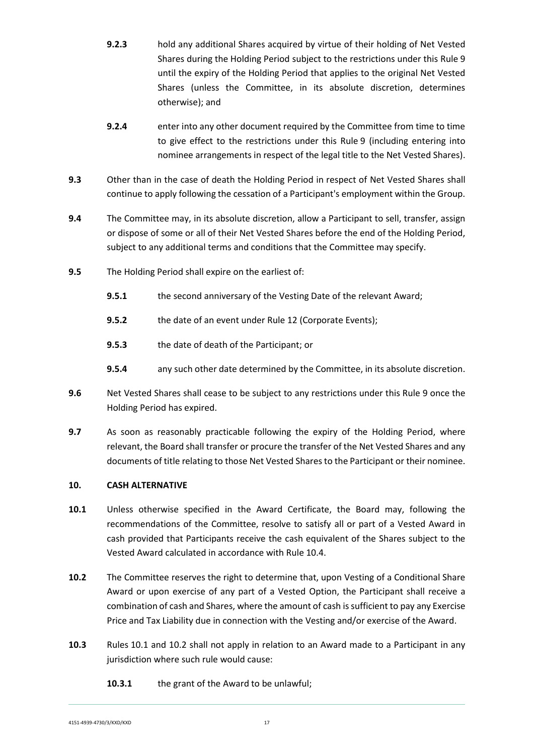- **9.2.3** hold any additional Shares acquired by virtue of their holding of Net Vested Shares during the Holding Period subject to the restrictions under this Rule [9](#page-15-0) until the expiry of the Holding Period that applies to the original Net Vested Shares (unless the Committee, in its absolute discretion, determines otherwise); and
- **9.2.4** enter into any other document required by the Committee from time to time to give effect to the restrictions under this Rule [9](#page-15-0) (including entering into nominee arrangements in respect of the legal title to the Net Vested Shares).
- **9.3** Other than in the case of death the Holding Period in respect of Net Vested Shares shall continue to apply following the cessation of a Participant's employment within the Group.
- **9.4** The Committee may, in its absolute discretion, allow a Participant to sell, transfer, assign or dispose of some or all of their Net Vested Shares before the end of the Holding Period, subject to any additional terms and conditions that the Committee may specify.
- **9.5** The Holding Period shall expire on the earliest of:
	- **9.5.1** the second anniversary of the Vesting Date of the relevant Award;
	- **9.5.2** the date of an event under Rule 12 (Corporate Events);
	- **9.5.3** the date of death of the Participant; or
	- **9.5.4** any such other date determined by the Committee, in its absolute discretion.
- **9.6** Net Vested Shares shall cease to be subject to any restrictions under this Rule [9](#page-15-0) once the Holding Period has expired.
- **9.7** As soon as reasonably practicable following the expiry of the Holding Period, where relevant, the Board shall transfer or procure the transfer of the Net Vested Shares and any documents of title relating to those Net Vested Shares to the Participant or their nominee.

## <span id="page-16-0"></span>**10. CASH ALTERNATIVE**

- **10.1** Unless otherwise specified in the Award Certificate, the Board may, following the recommendations of the Committee, resolve to satisfy all or part of a Vested Award in cash provided that Participants receive the cash equivalent of the Shares subject to the Vested Award calculated in accordance with Rule 10.4.
- **10.2** The Committee reserves the right to determine that, upon Vesting of a Conditional Share Award or upon exercise of any part of a Vested Option, the Participant shall receive a combination of cash and Shares, where the amount of cash is sufficient to pay any Exercise Price and Tax Liability due in connection with the Vesting and/or exercise of the Award.
- **10.3** Rules 10.1 and 10.2 shall not apply in relation to an Award made to a Participant in any jurisdiction where such rule would cause:
	- **10.3.1** the grant of the Award to be unlawful;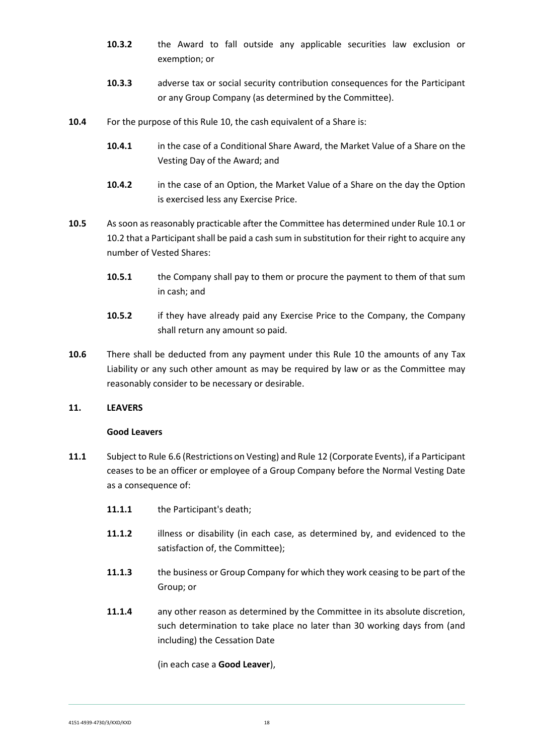- **10.3.2** the Award to fall outside any applicable securities law exclusion or exemption; or
- **10.3.3** adverse tax or social security contribution consequences for the Participant or any Group Company (as determined by the Committee).
- **10.4** For the purpose of this Rule 10, the cash equivalent of a Share is:
	- **10.4.1** in the case of a Conditional Share Award, the Market Value of a Share on the Vesting Day of the Award; and
	- **10.4.2** in the case of an Option, the Market Value of a Share on the day the Option is exercised less any Exercise Price.
- **10.5** As soon as reasonably practicable after the Committee has determined under Rule 10.1 or 10.2 that a Participant shall be paid a cash sum in substitution for their right to acquire any number of Vested Shares:
	- **10.5.1** the Company shall pay to them or procure the payment to them of that sum in cash; and
	- **10.5.2** if they have already paid any Exercise Price to the Company, the Company shall return any amount so paid.
- **10.6** There shall be deducted from any payment under this Rule 10 the amounts of any Tax Liability or any such other amount as may be required by law or as the Committee may reasonably consider to be necessary or desirable.

#### <span id="page-17-0"></span>**11. LEAVERS**

#### **Good Leavers**

- **11.1** Subject to Rule 6.6 (Restrictions on Vesting) and Rule [12](#page-19-0) (Corporate Events), if a Participant ceases to be an officer or employee of a Group Company before the Normal Vesting Date as a consequence of:
	- **11.1.1** the Participant's death;
	- **11.1.2** illness or disability (in each case, as determined by, and evidenced to the satisfaction of, the Committee);
	- **11.1.3** the business or Group Company for which they work ceasing to be part of the Group; or
	- **11.1.4** any other reason as determined by the Committee in its absolute discretion, such determination to take place no later than 30 working days from (and including) the Cessation Date

(in each case a **Good Leaver**),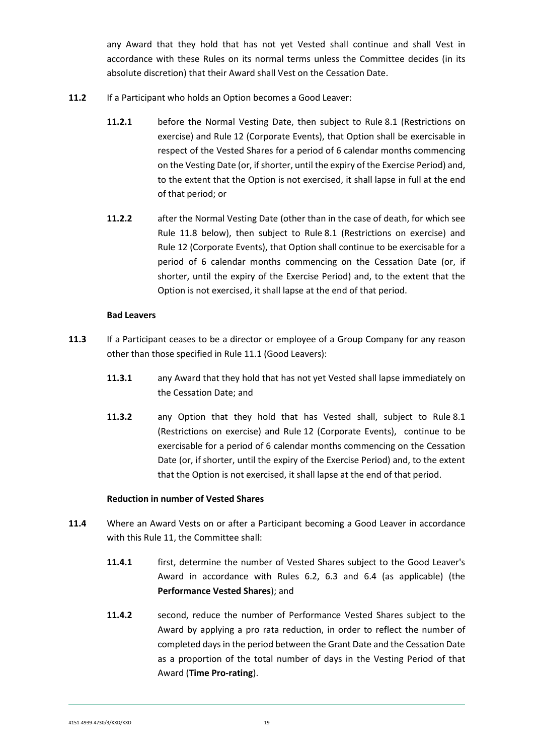any Award that they hold that has not yet Vested shall continue and shall Vest in accordance with these Rules on its normal terms unless the Committee decides (in its absolute discretion) that their Award shall Vest on the Cessation Date.

- **11.2** If a Participant who holds an Option becomes a Good Leaver:
	- **11.2.1** before the Normal Vesting Date, then subject to Rule 8.1 (Restrictions on exercise) and Rule [12](#page-19-0) (Corporate Events), that Option shall be exercisable in respect of the Vested Shares for a period of 6 calendar months commencing on the Vesting Date (or, if shorter, until the expiry of the Exercise Period) and, to the extent that the Option is not exercised, it shall lapse in full at the end of that period; or
	- **11.2.2** after the Normal Vesting Date (other than in the case of death, for which see Rule 11.8 below), then subject to Rule 8.1 (Restrictions on exercise) and Rule [12](#page-19-0) (Corporate Events), that Option shall continue to be exercisable for a period of 6 calendar months commencing on the Cessation Date (or, if shorter, until the expiry of the Exercise Period) and, to the extent that the Option is not exercised, it shall lapse at the end of that period.

#### **Bad Leavers**

- **11.3** If a Participant ceases to be a director or employee of a Group Company for any reason other than those specified in Rule 11.1 (Good Leavers):
	- **11.3.1** any Award that they hold that has not yet Vested shall lapse immediately on the Cessation Date; and
	- **11.3.2** any Option that they hold that has Vested shall, subject to Rule 8.1 (Restrictions on exercise) and Rule [12](#page-19-0) (Corporate Events), continue to be exercisable for a period of 6 calendar months commencing on the Cessation Date (or, if shorter, until the expiry of the Exercise Period) and, to the extent that the Option is not exercised, it shall lapse at the end of that period.

#### **Reduction in number of Vested Shares**

- **11.4** Where an Award Vests on or after a Participant becoming a Good Leaver in accordance with this Rule 11, the Committee shall:
	- **11.4.1** first, determine the number of Vested Shares subject to the Good Leaver's Award in accordance with Rules 6.2, 6.3 and 6.4 (as applicable) (the **Performance Vested Shares**); and
	- **11.4.2** second, reduce the number of Performance Vested Shares subject to the Award by applying a pro rata reduction, in order to reflect the number of completed days in the period between the Grant Date and the Cessation Date as a proportion of the total number of days in the Vesting Period of that Award (**Time Pro-rating**).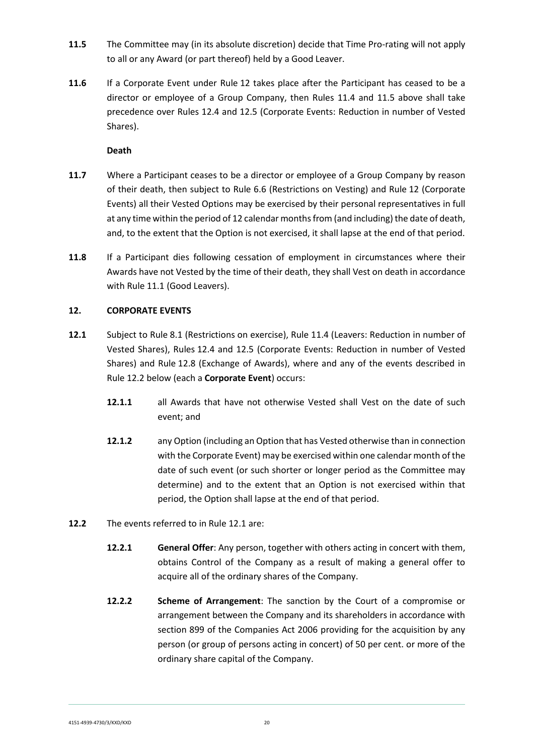- **11.5** The Committee may (in its absolute discretion) decide that Time Pro-rating will not apply to all or any Award (or part thereof) held by a Good Leaver.
- **11.6** If a Corporate Event under Rule 12 takes place after the Participant has ceased to be a director or employee of a Group Company, then Rules 11.4 and 11.5 above shall take precedence over Rules 12.4 and 12.5 (Corporate Events: Reduction in number of Vested Shares).

## **Death**

- **11.7** Where a Participant ceases to be a director or employee of a Group Company by reason of their death, then subject to Rule 6.6 (Restrictions on Vesting) and Rule [12](#page-19-0) (Corporate Events) all their Vested Options may be exercised by their personal representatives in full at any time within the period of 12 calendar months from (and including) the date of death, and, to the extent that the Option is not exercised, it shall lapse at the end of that period.
- **11.8** If a Participant dies following cessation of employment in circumstances where their Awards have not Vested by the time of their death, they shall Vest on death in accordance with Rule 11.1 (Good Leavers).

## <span id="page-19-0"></span>**12. CORPORATE EVENTS**

- **12.1** Subject to Rule 8.1 (Restrictions on exercise), Rule 11.4 (Leavers: Reduction in number of Vested Shares), Rules 12.4 and 12.5 (Corporate Events: Reduction in number of Vested Shares) and Rule 12.8 (Exchange of Awards), where and any of the events described in Rule 12.2 below (each a **Corporate Event**) occurs:
	- **12.1.1** all Awards that have not otherwise Vested shall Vest on the date of such event; and
	- **12.1.2** any Option (including an Option that has Vested otherwise than in connection with the Corporate Event) may be exercised within one calendar month of the date of such event (or such shorter or longer period as the Committee may determine) and to the extent that an Option is not exercised within that period, the Option shall lapse at the end of that period.
- **12.2** The events referred to in Rule 12.1 are:
	- **12.2.1 General Offer**: Any person, together with others acting in concert with them, obtains Control of the Company as a result of making a general offer to acquire all of the ordinary shares of the Company.
	- **12.2.2 Scheme of Arrangement**: The sanction by the Court of a compromise or arrangement between the Company and its shareholders in accordance with section 899 of the Companies Act 2006 providing for the acquisition by any person (or group of persons acting in concert) of 50 per cent. or more of the ordinary share capital of the Company.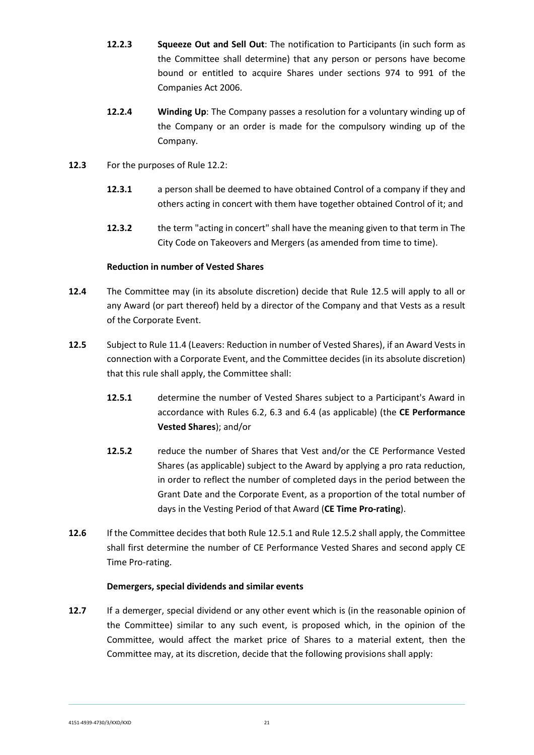- **12.2.3 Squeeze Out and Sell Out**: The notification to Participants (in such form as the Committee shall determine) that any person or persons have become bound or entitled to acquire Shares under sections 974 to 991 of the Companies Act 2006.
- **12.2.4 Winding Up**: The Company passes a resolution for a voluntary winding up of the Company or an order is made for the compulsory winding up of the Company.
- **12.3** For the purposes of Rule 12.2:
	- **12.3.1** a person shall be deemed to have obtained Control of a company if they and others acting in concert with them have together obtained Control of it; and
	- **12.3.2** the term "acting in concert" shall have the meaning given to that term in The City Code on Takeovers and Mergers (as amended from time to time).

## **Reduction in number of Vested Shares**

- **12.4** The Committee may (in its absolute discretion) decide that Rule 12.5 will apply to all or any Award (or part thereof) held by a director of the Company and that Vests as a result of the Corporate Event.
- **12.5** Subject to Rule 11.4 (Leavers: Reduction in number of Vested Shares), if an Award Vests in connection with a Corporate Event, and the Committee decides (in its absolute discretion) that this rule shall apply, the Committee shall:
	- **12.5.1** determine the number of Vested Shares subject to a Participant's Award in accordance with Rules 6.2, 6.3 and 6.4 (as applicable) (the **CE Performance Vested Shares**); and/or
	- **12.5.2** reduce the number of Shares that Vest and/or the CE Performance Vested Shares (as applicable) subject to the Award by applying a pro rata reduction, in order to reflect the number of completed days in the period between the Grant Date and the Corporate Event, as a proportion of the total number of days in the Vesting Period of that Award (**CE Time Pro-rating**).
- **12.6** If the Committee decides that both Rule 12.5.1 and Rule 12.5.2 shall apply, the Committee shall first determine the number of CE Performance Vested Shares and second apply CE Time Pro-rating.

## **Demergers, special dividends and similar events**

**12.7** If a demerger, special dividend or any other event which is (in the reasonable opinion of the Committee) similar to any such event, is proposed which, in the opinion of the Committee, would affect the market price of Shares to a material extent, then the Committee may, at its discretion, decide that the following provisions shall apply: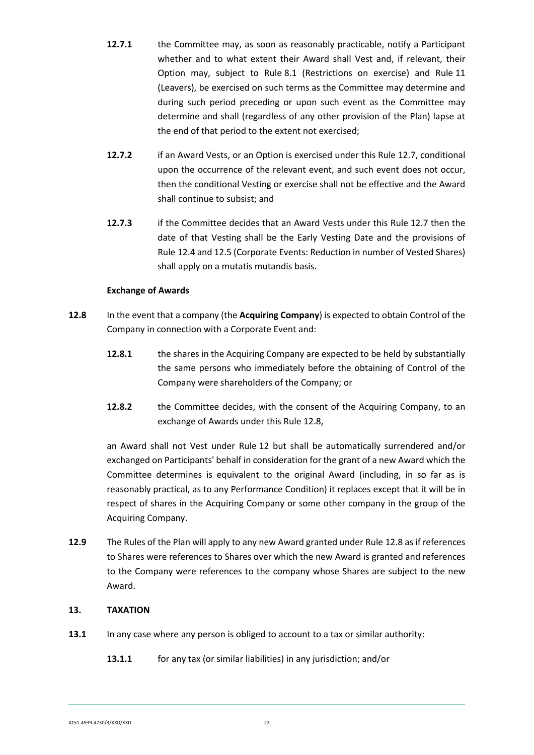- **12.7.1** the Committee may, as soon as reasonably practicable, notify a Participant whether and to what extent their Award shall Vest and, if relevant, their Option may, subject to Rule 8.1 (Restrictions on exercise) and Rule [11](#page-17-0) (Leavers), be exercised on such terms as the Committee may determine and during such period preceding or upon such event as the Committee may determine and shall (regardless of any other provision of the Plan) lapse at the end of that period to the extent not exercised;
- **12.7.2** if an Award Vests, or an Option is exercised under this Rule 12.7, conditional upon the occurrence of the relevant event, and such event does not occur, then the conditional Vesting or exercise shall not be effective and the Award shall continue to subsist; and
- **12.7.3** if the Committee decides that an Award Vests under this Rule 12.7 then the date of that Vesting shall be the Early Vesting Date and the provisions of Rule 12.4 and 12.5 (Corporate Events: Reduction in number of Vested Shares) shall apply on a mutatis mutandis basis.

## **Exchange of Awards**

- **12.8** In the event that a company (the **Acquiring Company**) is expected to obtain Control of the Company in connection with a Corporate Event and:
	- **12.8.1** the shares in the Acquiring Company are expected to be held by substantially the same persons who immediately before the obtaining of Control of the Company were shareholders of the Company; or
	- **12.8.2** the Committee decides, with the consent of the Acquiring Company, to an exchange of Awards under this Rule [12.](#page-19-0)8,

an Award shall not Vest under Rule 12 but shall be automatically surrendered and/or exchanged on Participants' behalf in consideration for the grant of a new Award which the Committee determines is equivalent to the original Award (including, in so far as is reasonably practical, as to any Performance Condition) it replaces except that it will be in respect of shares in the Acquiring Company or some other company in the group of the Acquiring Company.

**12.9** The Rules of the Plan will apply to any new Award granted under Rule [12.](#page-19-0)8 as if references to Shares were references to Shares over which the new Award is granted and references to the Company were references to the company whose Shares are subject to the new Award.

## <span id="page-21-0"></span>**13. TAXATION**

- **13.1** In any case where any person is obliged to account to a tax or similar authority:
	- **13.1.1** for any tax (or similar liabilities) in any jurisdiction; and/or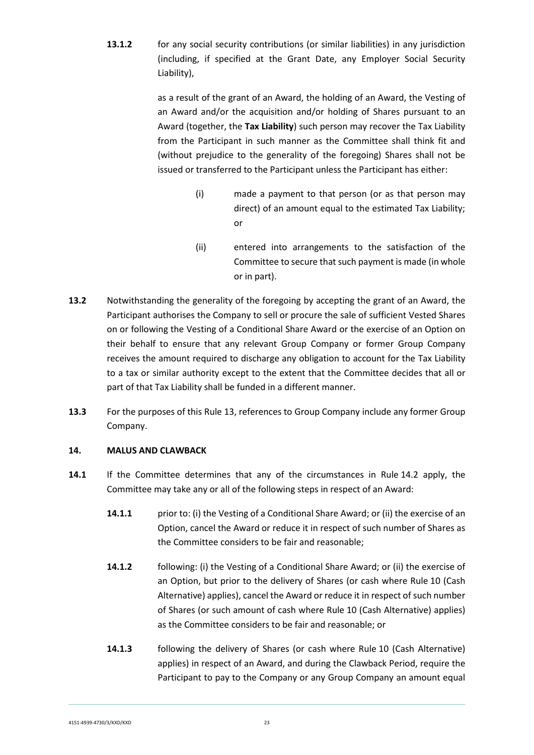**13.1.2** for any social security contributions (or similar liabilities) in any jurisdiction (including, if specified at the Grant Date, any Employer Social Security Liability),

> as a result of the grant of an Award, the holding of an Award, the Vesting of an Award and/or the acquisition and/or holding of Shares pursuant to an Award (together, the **Tax Liability**) such person may recover the Tax Liability from the Participant in such manner as the Committee shall think fit and (without prejudice to the generality of the foregoing) Shares shall not be issued or transferred to the Participant unless the Participant has either:

- (i) made a payment to that person (or as that person may direct) of an amount equal to the estimated Tax Liability; or
- (ii) entered into arrangements to the satisfaction of the Committee to secure that such payment is made (in whole or in part).
- **13.2** Notwithstanding the generality of the foregoing by accepting the grant of an Award, the Participant authorises the Company to sell or procure the sale of sufficient Vested Shares on or following the Vesting of a Conditional Share Award or the exercise of an Option on their behalf to ensure that any relevant Group Company or former Group Company receives the amount required to discharge any obligation to account for the Tax Liability to a tax or similar authority except to the extent that the Committee decides that all or part of that Tax Liability shall be funded in a different manner.
- **13.3** For the purposes of this Rule [13,](#page-21-0) references to Group Company include any former Group Company.

## <span id="page-22-0"></span>**14. MALUS AND CLAWBACK**

- **14.1** If the Committee determines that any of the circumstances in Rule 14.2 apply, the Committee may take any or all of the following steps in respect of an Award:
	- **14.1.1** prior to: (i) the Vesting of a Conditional Share Award; or (ii) the exercise of an Option, cancel the Award or reduce it in respect of such number of Shares as the Committee considers to be fair and reasonable;
	- **14.1.2** following: (i) the Vesting of a Conditional Share Award; or (ii) the exercise of an Option, but prior to the delivery of Shares (or cash where Rule 10 (Cash Alternative) applies), cancel the Award or reduce it in respect of such number of Shares (or such amount of cash where Rule 10 (Cash Alternative) applies) as the Committee considers to be fair and reasonable; or
	- **14.1.3** following the delivery of Shares (or cash where Rule 10 (Cash Alternative) applies) in respect of an Award, and during the Clawback Period, require the Participant to pay to the Company or any Group Company an amount equal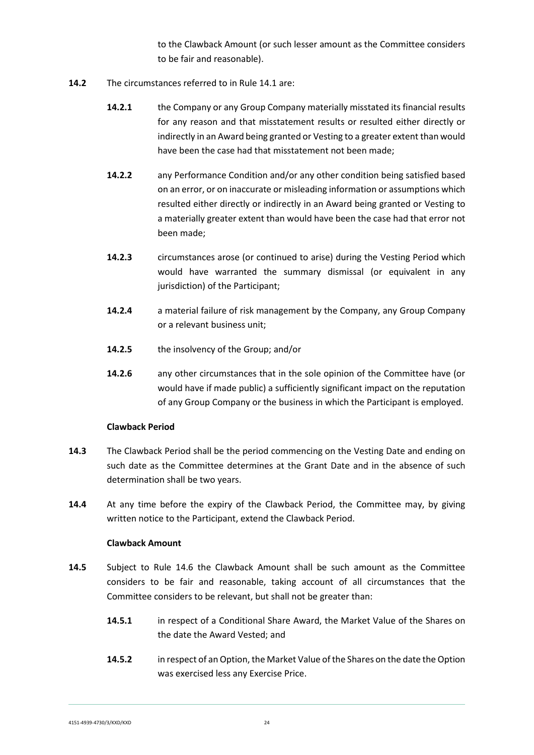to the Clawback Amount (or such lesser amount as the Committee considers to be fair and reasonable).

- **14.2** The circumstances referred to in Rule 14.1 are:
	- **14.2.1** the Company or any Group Company materially misstated its financial results for any reason and that misstatement results or resulted either directly or indirectly in an Award being granted or Vesting to a greater extent than would have been the case had that misstatement not been made;
	- **14.2.2** any Performance Condition and/or any other condition being satisfied based on an error, or on inaccurate or misleading information or assumptions which resulted either directly or indirectly in an Award being granted or Vesting to a materially greater extent than would have been the case had that error not been made;
	- **14.2.3** circumstances arose (or continued to arise) during the Vesting Period which would have warranted the summary dismissal (or equivalent in any jurisdiction) of the Participant;
	- **14.2.4** a material failure of risk management by the Company, any Group Company or a relevant business unit;
	- **14.2.5** the insolvency of the Group; and/or
	- **14.2.6** any other circumstances that in the sole opinion of the Committee have (or would have if made public) a sufficiently significant impact on the reputation of any Group Company or the business in which the Participant is employed.

#### **Clawback Period**

- **14.3** The Clawback Period shall be the period commencing on the Vesting Date and ending on such date as the Committee determines at the Grant Date and in the absence of such determination shall be two years.
- **14.4** At any time before the expiry of the Clawback Period, the Committee may, by giving written notice to the Participant, extend the Clawback Period.

#### **Clawback Amount**

- **14.5** Subject to Rule 14.6 the Clawback Amount shall be such amount as the Committee considers to be fair and reasonable, taking account of all circumstances that the Committee considers to be relevant, but shall not be greater than:
	- **14.5.1** in respect of a Conditional Share Award, the Market Value of the Shares on the date the Award Vested; and
	- **14.5.2** in respect of an Option, the Market Value of the Shares on the date the Option was exercised less any Exercise Price.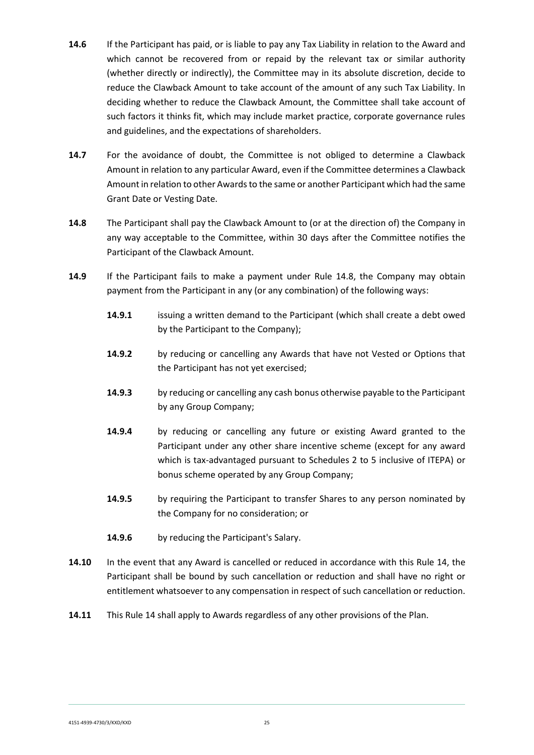- **14.6** If the Participant has paid, or is liable to pay any Tax Liability in relation to the Award and which cannot be recovered from or repaid by the relevant tax or similar authority (whether directly or indirectly), the Committee may in its absolute discretion, decide to reduce the Clawback Amount to take account of the amount of any such Tax Liability. In deciding whether to reduce the Clawback Amount, the Committee shall take account of such factors it thinks fit, which may include market practice, corporate governance rules and guidelines, and the expectations of shareholders.
- **14.7** For the avoidance of doubt, the Committee is not obliged to determine a Clawback Amount in relation to any particular Award, even if the Committee determines a Clawback Amount in relation to other Awards to the same or another Participant which had the same Grant Date or Vesting Date.
- **14.8** The Participant shall pay the Clawback Amount to (or at the direction of) the Company in any way acceptable to the Committee, within 30 days after the Committee notifies the Participant of the Clawback Amount.
- **14.9** If the Participant fails to make a payment under Rule 14.8, the Company may obtain payment from the Participant in any (or any combination) of the following ways:
	- **14.9.1** issuing a written demand to the Participant (which shall create a debt owed by the Participant to the Company);
	- **14.9.2** by reducing or cancelling any Awards that have not Vested or Options that the Participant has not yet exercised;
	- **14.9.3** by reducing or cancelling any cash bonus otherwise payable to the Participant by any Group Company;
	- **14.9.4** by reducing or cancelling any future or existing Award granted to the Participant under any other share incentive scheme (except for any award which is tax-advantaged pursuant to Schedules 2 to 5 inclusive of ITEPA) or bonus scheme operated by any Group Company;
	- **14.9.5** by requiring the Participant to transfer Shares to any person nominated by the Company for no consideration; or
	- **14.9.6** by reducing the Participant's Salary.
- **14.10** In the event that any Award is cancelled or reduced in accordance with this Rule 14, the Participant shall be bound by such cancellation or reduction and shall have no right or entitlement whatsoever to any compensation in respect of such cancellation or reduction.
- **14.11** This Rule 14 shall apply to Awards regardless of any other provisions of the Plan.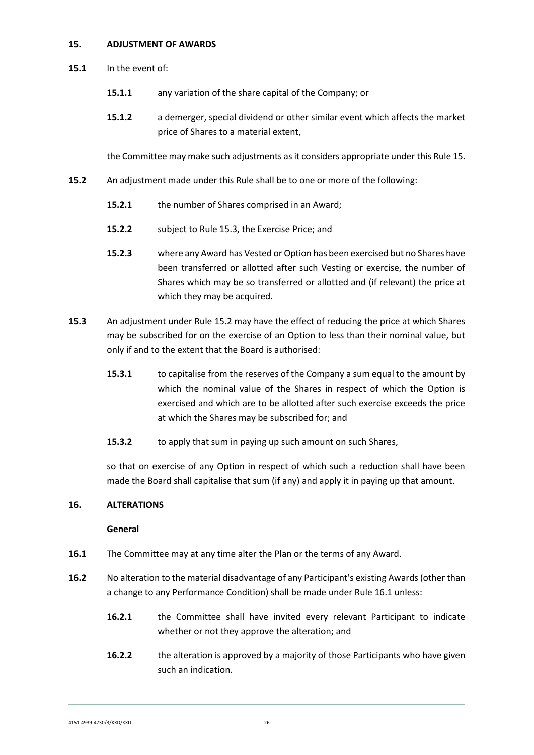#### <span id="page-25-0"></span>**15. ADJUSTMENT OF AWARDS**

- **15.1** In the event of:
	- **15.1.1** any variation of the share capital of the Company; or
	- **15.1.2** a demerger, special dividend or other similar event which affects the market price of Shares to a material extent,

the Committee may make such adjustments as it considers appropriate under this Rule 15.

- **15.2** An adjustment made under this Rule shall be to one or more of the following:
	- **15.2.1** the number of Shares comprised in an Award;
	- **15.2.2** subject to Rule 15.3, the Exercise Price; and
	- **15.2.3** where any Award has Vested or Option has been exercised but no Shares have been transferred or allotted after such Vesting or exercise, the number of Shares which may be so transferred or allotted and (if relevant) the price at which they may be acquired.
- **15.3** An adjustment under Rule 15.2 may have the effect of reducing the price at which Shares may be subscribed for on the exercise of an Option to less than their nominal value, but only if and to the extent that the Board is authorised:
	- **15.3.1** to capitalise from the reserves of the Company a sum equal to the amount by which the nominal value of the Shares in respect of which the Option is exercised and which are to be allotted after such exercise exceeds the price at which the Shares may be subscribed for; and
	- **15.3.2** to apply that sum in paying up such amount on such Shares,

so that on exercise of any Option in respect of which such a reduction shall have been made the Board shall capitalise that sum (if any) and apply it in paying up that amount.

#### <span id="page-25-1"></span>**16. ALTERATIONS**

#### **General**

- **16.1** The Committee may at any time alter the Plan or the terms of any Award.
- **16.2** No alteration to the material disadvantage of any Participant's existing Awards (other than a change to any Performance Condition) shall be made under Rule 16.1 unless:
	- **16.2.1** the Committee shall have invited every relevant Participant to indicate whether or not they approve the alteration; and
	- **16.2.2** the alteration is approved by a majority of those Participants who have given such an indication.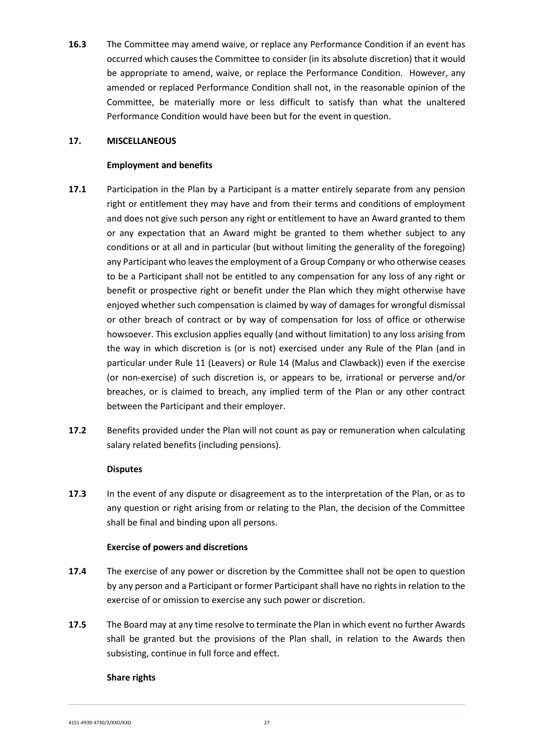**16.3** The Committee may amend waive, or replace any Performance Condition if an event has occurred which causes the Committee to consider (in its absolute discretion) that it would be appropriate to amend, waive, or replace the Performance Condition. However, any amended or replaced Performance Condition shall not, in the reasonable opinion of the Committee, be materially more or less difficult to satisfy than what the unaltered Performance Condition would have been but for the event in question.

## <span id="page-26-0"></span>**17. MISCELLANEOUS**

## **Employment and benefits**

- **17.1** Participation in the Plan by a Participant is a matter entirely separate from any pension right or entitlement they may have and from their terms and conditions of employment and does not give such person any right or entitlement to have an Award granted to them or any expectation that an Award might be granted to them whether subject to any conditions or at all and in particular (but without limiting the generality of the foregoing) any Participant who leaves the employment of a Group Company or who otherwise ceases to be a Participant shall not be entitled to any compensation for any loss of any right or benefit or prospective right or benefit under the Plan which they might otherwise have enjoyed whether such compensation is claimed by way of damages for wrongful dismissal or other breach of contract or by way of compensation for loss of office or otherwise howsoever. This exclusion applies equally (and without limitation) to any loss arising from the way in which discretion is (or is not) exercised under any Rule of the Plan (and in particular under Rule 11 (Leavers) or Rule 14 (Malus and Clawback)) even if the exercise (or non-exercise) of such discretion is, or appears to be, irrational or perverse and/or breaches, or is claimed to breach, any implied term of the Plan or any other contract between the Participant and their employer.
- **17.2** Benefits provided under the Plan will not count as pay or remuneration when calculating salary related benefits (including pensions).

#### **Disputes**

**17.3** In the event of any dispute or disagreement as to the interpretation of the Plan, or as to any question or right arising from or relating to the Plan, the decision of the Committee shall be final and binding upon all persons.

#### **Exercise of powers and discretions**

- **17.4** The exercise of any power or discretion by the Committee shall not be open to question by any person and a Participant or former Participant shall have no rights in relation to the exercise of or omission to exercise any such power or discretion.
- **17.5** The Board may at any time resolve to terminate the Plan in which event no further Awards shall be granted but the provisions of the Plan shall, in relation to the Awards then subsisting, continue in full force and effect.

#### **Share rights**

4151-4939-4730/3/KXD/KXD 27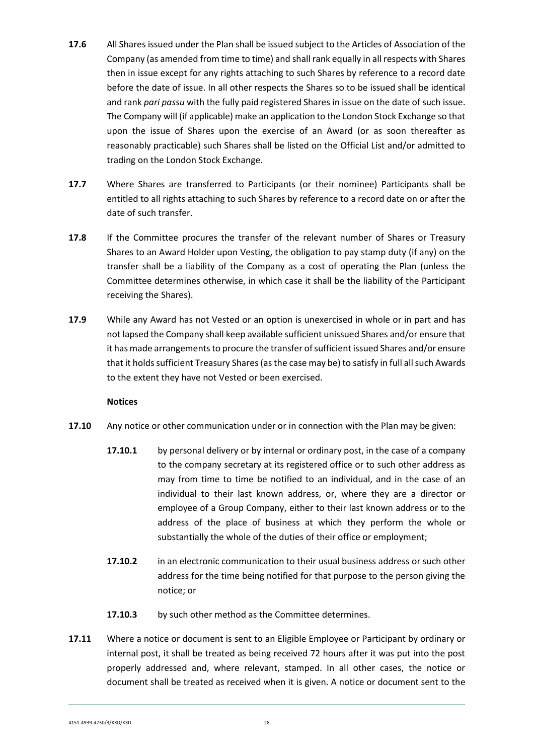- **17.6** All Shares issued under the Plan shall be issued subject to the Articles of Association of the Company (as amended from time to time) and shall rank equally in all respects with Shares then in issue except for any rights attaching to such Shares by reference to a record date before the date of issue. In all other respects the Shares so to be issued shall be identical and rank *pari passu* with the fully paid registered Shares in issue on the date of such issue. The Company will (if applicable) make an application to the London Stock Exchange so that upon the issue of Shares upon the exercise of an Award (or as soon thereafter as reasonably practicable) such Shares shall be listed on the Official List and/or admitted to trading on the London Stock Exchange.
- **17.7** Where Shares are transferred to Participants (or their nominee) Participants shall be entitled to all rights attaching to such Shares by reference to a record date on or after the date of such transfer.
- **17.8** If the Committee procures the transfer of the relevant number of Shares or Treasury Shares to an Award Holder upon Vesting, the obligation to pay stamp duty (if any) on the transfer shall be a liability of the Company as a cost of operating the Plan (unless the Committee determines otherwise, in which case it shall be the liability of the Participant receiving the Shares).
- **17.9** While any Award has not Vested or an option is unexercised in whole or in part and has not lapsed the Company shall keep available sufficient unissued Shares and/or ensure that it has made arrangements to procure the transfer of sufficient issued Shares and/or ensure that it holds sufficient Treasury Shares (as the case may be) to satisfy in full all such Awards to the extent they have not Vested or been exercised.

## **Notices**

- **17.10** Any notice or other communication under or in connection with the Plan may be given:
	- **17.10.1** by personal delivery or by internal or ordinary post, in the case of a company to the company secretary at its registered office or to such other address as may from time to time be notified to an individual, and in the case of an individual to their last known address, or, where they are a director or employee of a Group Company, either to their last known address or to the address of the place of business at which they perform the whole or substantially the whole of the duties of their office or employment;
	- **17.10.2** in an electronic communication to their usual business address or such other address for the time being notified for that purpose to the person giving the notice; or
	- **17.10.3** by such other method as the Committee determines.
- **17.11** Where a notice or document is sent to an Eligible Employee or Participant by ordinary or internal post, it shall be treated as being received 72 hours after it was put into the post properly addressed and, where relevant, stamped. In all other cases, the notice or document shall be treated as received when it is given. A notice or document sent to the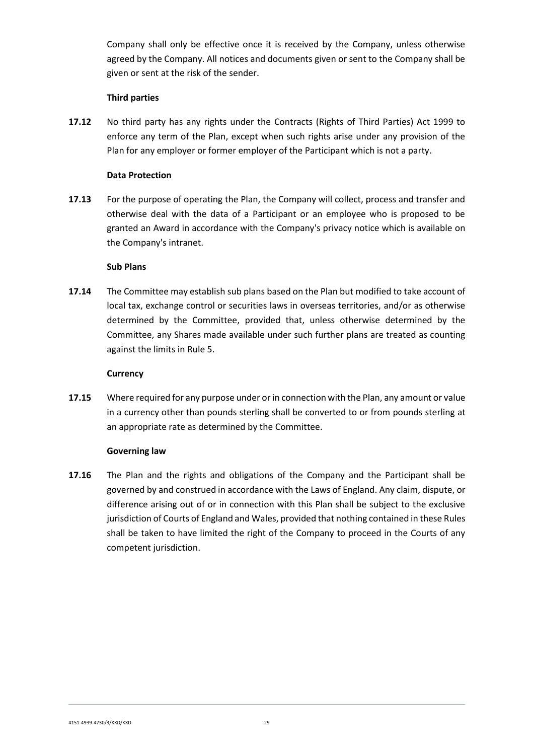Company shall only be effective once it is received by the Company, unless otherwise agreed by the Company. All notices and documents given or sent to the Company shall be given or sent at the risk of the sender.

#### **Third parties**

**17.12** No third party has any rights under the Contracts (Rights of Third Parties) Act 1999 to enforce any term of the Plan, except when such rights arise under any provision of the Plan for any employer or former employer of the Participant which is not a party.

#### **Data Protection**

**17.13** For the purpose of operating the Plan, the Company will collect, process and transfer and otherwise deal with the data of a Participant or an employee who is proposed to be granted an Award in accordance with the Company's privacy notice which is available on the Company's intranet.

## **Sub Plans**

**17.14** The Committee may establish sub plans based on the Plan but modified to take account of local tax, exchange control or securities laws in overseas territories, and/or as otherwise determined by the Committee, provided that, unless otherwise determined by the Committee, any Shares made available under such further plans are treated as counting against the limits in Rule 5.

## **Currency**

**17.15** Where required for any purpose under or in connection with the Plan, any amount or value in a currency other than pounds sterling shall be converted to or from pounds sterling at an appropriate rate as determined by the Committee.

## **Governing law**

**17.16** The Plan and the rights and obligations of the Company and the Participant shall be governed by and construed in accordance with the Laws of England. Any claim, dispute, or difference arising out of or in connection with this Plan shall be subject to the exclusive jurisdiction of Courts of England and Wales, provided that nothing contained in these Rules shall be taken to have limited the right of the Company to proceed in the Courts of any competent jurisdiction.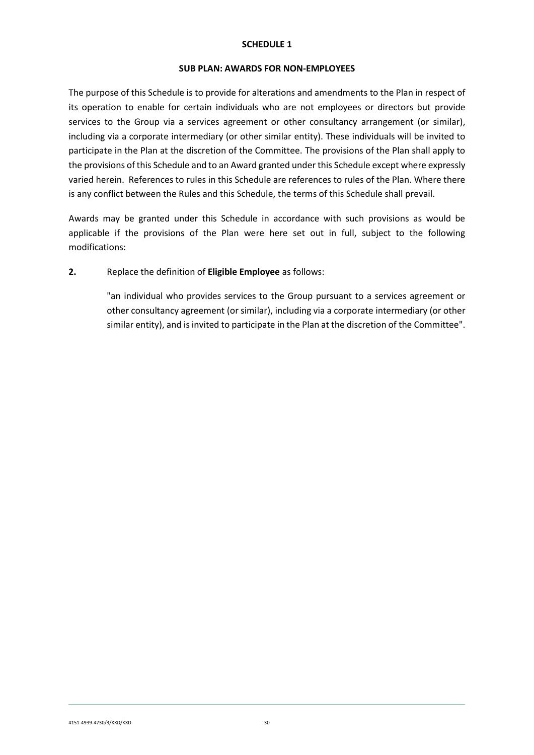#### **SCHEDULE 1**

#### **SUB PLAN: AWARDS FOR NON-EMPLOYEES**

The purpose of this Schedule is to provide for alterations and amendments to the Plan in respect of its operation to enable for certain individuals who are not employees or directors but provide services to the Group via a services agreement or other consultancy arrangement (or similar), including via a corporate intermediary (or other similar entity). These individuals will be invited to participate in the Plan at the discretion of the Committee. The provisions of the Plan shall apply to the provisions of this Schedule and to an Award granted under this Schedule except where expressly varied herein. References to rules in this Schedule are references to rules of the Plan. Where there is any conflict between the Rules and this Schedule, the terms of this Schedule shall prevail.

Awards may be granted under this Schedule in accordance with such provisions as would be applicable if the provisions of the Plan were here set out in full, subject to the following modifications:

#### **2.** Replace the definition of **Eligible Employee** as follows:

"an individual who provides services to the Group pursuant to a services agreement or other consultancy agreement (or similar), including via a corporate intermediary (or other similar entity), and is invited to participate in the Plan at the discretion of the Committee".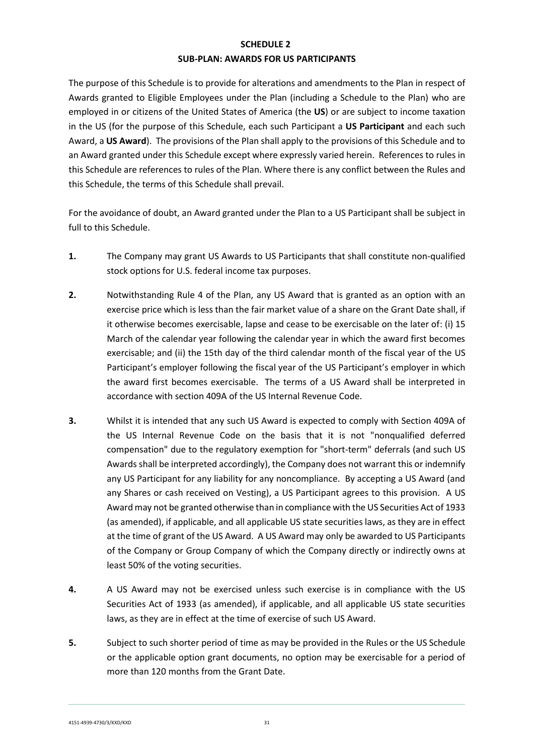# **SCHEDULE 2 SUB-PLAN: AWARDS FOR US PARTICIPANTS**

The purpose of this Schedule is to provide for alterations and amendments to the Plan in respect of Awards granted to Eligible Employees under the Plan (including a Schedule to the Plan) who are employed in or citizens of the United States of America (the **US**) or are subject to income taxation in the US (for the purpose of this Schedule, each such Participant a **US Participant** and each such Award, a **US Award**). The provisions of the Plan shall apply to the provisions of this Schedule and to an Award granted under this Schedule except where expressly varied herein. References to rules in this Schedule are references to rules of the Plan. Where there is any conflict between the Rules and this Schedule, the terms of this Schedule shall prevail.

For the avoidance of doubt, an Award granted under the Plan to a US Participant shall be subject in full to this Schedule.

- **1.** The Company may grant US Awards to US Participants that shall constitute non-qualified stock options for U.S. federal income tax purposes.
- **2.** Notwithstanding Rule 4 of the Plan, any US Award that is granted as an option with an exercise price which is less than the fair market value of a share on the Grant Date shall, if it otherwise becomes exercisable, lapse and cease to be exercisable on the later of: (i) 15 March of the calendar year following the calendar year in which the award first becomes exercisable; and (ii) the 15th day of the third calendar month of the fiscal year of the US Participant's employer following the fiscal year of the US Participant's employer in which the award first becomes exercisable. The terms of a US Award shall be interpreted in accordance with section 409A of the US Internal Revenue Code.
- **3.** Whilst it is intended that any such US Award is expected to comply with Section 409A of the US Internal Revenue Code on the basis that it is not "nonqualified deferred compensation" due to the regulatory exemption for "short-term" deferrals (and such US Awards shall be interpreted accordingly), the Company does not warrant this or indemnify any US Participant for any liability for any noncompliance. By accepting a US Award (and any Shares or cash received on Vesting), a US Participant agrees to this provision. A US Award may not be granted otherwise than in compliance with the US Securities Act of 1933 (as amended), if applicable, and all applicable US state securities laws, as they are in effect at the time of grant of the US Award. A US Award may only be awarded to US Participants of the Company or Group Company of which the Company directly or indirectly owns at least 50% of the voting securities.
- **4.** A US Award may not be exercised unless such exercise is in compliance with the US Securities Act of 1933 (as amended), if applicable, and all applicable US state securities laws, as they are in effect at the time of exercise of such US Award.
- **5.** Subject to such shorter period of time as may be provided in the Rules or the US Schedule or the applicable option grant documents, no option may be exercisable for a period of more than 120 months from the Grant Date.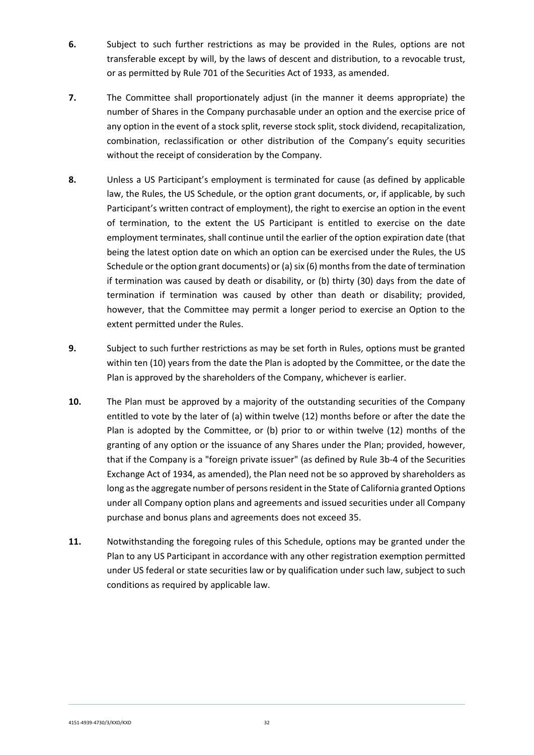- **6.** Subject to such further restrictions as may be provided in the Rules, options are not transferable except by will, by the laws of descent and distribution, to a revocable trust, or as permitted by Rule 701 of the Securities Act of 1933, as amended.
- **7.** The Committee shall proportionately adjust (in the manner it deems appropriate) the number of Shares in the Company purchasable under an option and the exercise price of any option in the event of a stock split, reverse stock split, stock dividend, recapitalization, combination, reclassification or other distribution of the Company's equity securities without the receipt of consideration by the Company.
- **8.** Unless a US Participant's employment is terminated for cause (as defined by applicable law, the Rules, the US Schedule, or the option grant documents, or, if applicable, by such Participant's written contract of employment), the right to exercise an option in the event of termination, to the extent the US Participant is entitled to exercise on the date employment terminates, shall continue until the earlier of the option expiration date (that being the latest option date on which an option can be exercised under the Rules, the US Schedule or the option grant documents) or (a) six (6) months from the date of termination if termination was caused by death or disability, or (b) thirty (30) days from the date of termination if termination was caused by other than death or disability; provided, however, that the Committee may permit a longer period to exercise an Option to the extent permitted under the Rules.
- **9.** Subject to such further restrictions as may be set forth in Rules, options must be granted within ten (10) years from the date the Plan is adopted by the Committee, or the date the Plan is approved by the shareholders of the Company, whichever is earlier.
- **10.** The Plan must be approved by a majority of the outstanding securities of the Company entitled to vote by the later of (a) within twelve (12) months before or after the date the Plan is adopted by the Committee, or (b) prior to or within twelve (12) months of the granting of any option or the issuance of any Shares under the Plan; provided, however, that if the Company is a "foreign private issuer" (as defined by Rule 3b-4 of the Securities Exchange Act of 1934, as amended), the Plan need not be so approved by shareholders as long as the aggregate number of persons resident in the State of California granted Options under all Company option plans and agreements and issued securities under all Company purchase and bonus plans and agreements does not exceed 35.
- **11.** Notwithstanding the foregoing rules of this Schedule, options may be granted under the Plan to any US Participant in accordance with any other registration exemption permitted under US federal or state securities law or by qualification under such law, subject to such conditions as required by applicable law.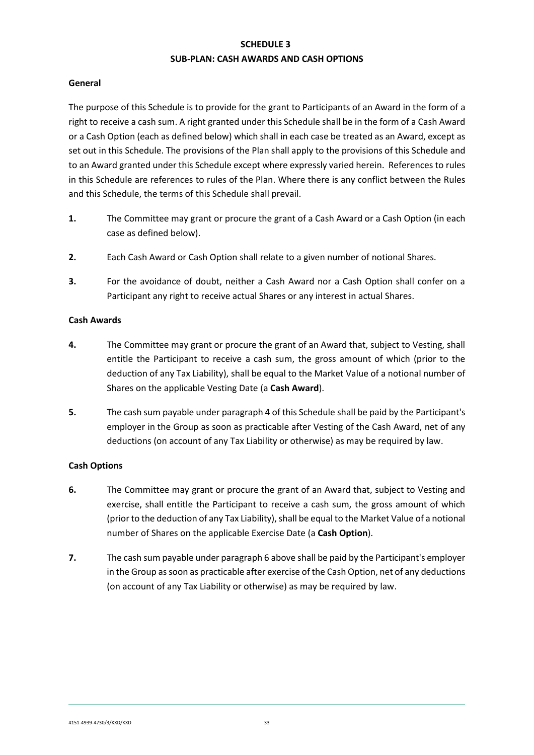# **SCHEDULE 3 SUB-PLAN: CASH AWARDS AND CASH OPTIONS**

#### **General**

The purpose of this Schedule is to provide for the grant to Participants of an Award in the form of a right to receive a cash sum. A right granted under this Schedule shall be in the form of a Cash Award or a Cash Option (each as defined below) which shall in each case be treated as an Award, except as set out in this Schedule. The provisions of the Plan shall apply to the provisions of this Schedule and to an Award granted under this Schedule except where expressly varied herein. References to rules in this Schedule are references to rules of the Plan. Where there is any conflict between the Rules and this Schedule, the terms of this Schedule shall prevail.

- **1.** The Committee may grant or procure the grant of a Cash Award or a Cash Option (in each case as defined below).
- **2.** Each Cash Award or Cash Option shall relate to a given number of notional Shares.
- **3.** For the avoidance of doubt, neither a Cash Award nor a Cash Option shall confer on a Participant any right to receive actual Shares or any interest in actual Shares.

## **Cash Awards**

- **4.** The Committee may grant or procure the grant of an Award that, subject to Vesting, shall entitle the Participant to receive a cash sum, the gross amount of which (prior to the deduction of any Tax Liability), shall be equal to the Market Value of a notional number of Shares on the applicable Vesting Date (a **Cash Award**).
- **5.** The cash sum payable under paragraph 4 of this Schedule shall be paid by the Participant's employer in the Group as soon as practicable after Vesting of the Cash Award, net of any deductions (on account of any Tax Liability or otherwise) as may be required by law.

## **Cash Options**

- **6.** The Committee may grant or procure the grant of an Award that, subject to Vesting and exercise, shall entitle the Participant to receive a cash sum, the gross amount of which (prior to the deduction of any Tax Liability), shall be equal to the Market Value of a notional number of Shares on the applicable Exercise Date (a **Cash Option**).
- **7.** The cash sum payable under paragraph 6 above shall be paid by the Participant's employer in the Group as soon as practicable after exercise of the Cash Option, net of any deductions (on account of any Tax Liability or otherwise) as may be required by law.